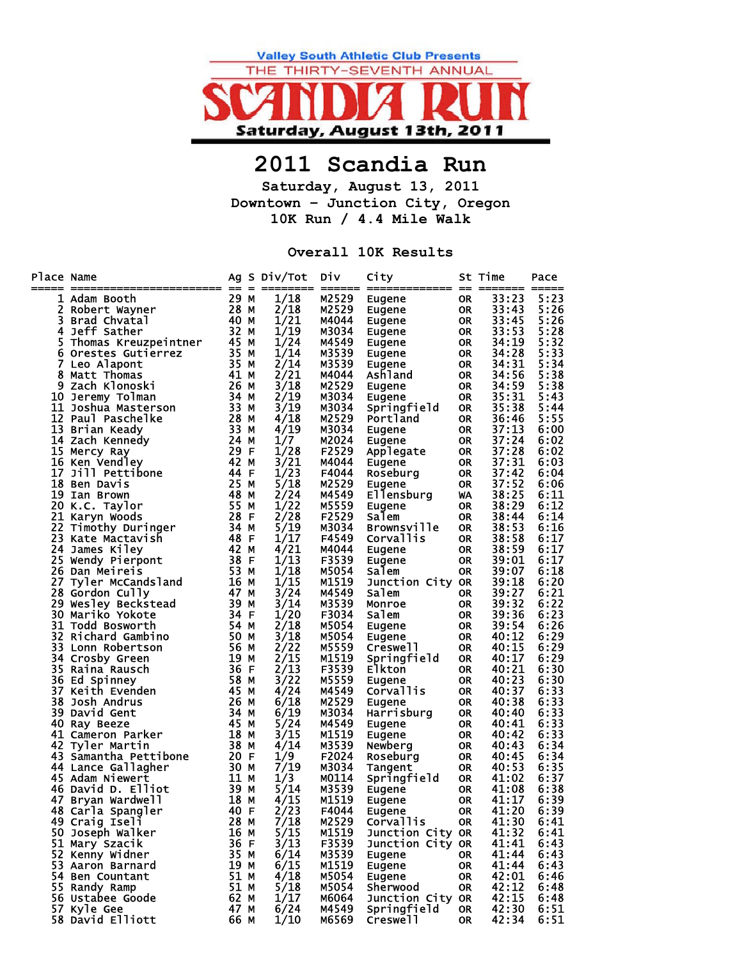

## **2011 Scandia Run**

**Saturday, August 13, 2011 Downtown – Junction City, Oregon 10K Run / 4.4 Mile Walk** 

## **Overall 10K Results**

| Place Name | ======================                                                                                                                                                                                                 | $= 2$               | Ag S Div/Tot | <b>Div</b>     | City                      |                 | St Time        | Pace<br>===== |
|------------|------------------------------------------------------------------------------------------------------------------------------------------------------------------------------------------------------------------------|---------------------|--------------|----------------|---------------------------|-----------------|----------------|---------------|
|            | 1 Adam Booth                                                                                                                                                                                                           | 29 M                | 1/18         | M2529          | Eugene                    | <b>OR</b>       | 33:23          | 5:23          |
| 2          |                                                                                                                                                                                                                        |                     | 2/18         | M2529          | Eugene                    | <b>OR</b>       | 33:43          | 5:26          |
| 3          |                                                                                                                                                                                                                        |                     | 1/21         | M4044          | Eugene                    | 0R              | 33:45          | 5:26          |
| 4          | Robert Wayner<br>Brad Chvatal<br>Jeff Sather 32 M                                                                                                                                                                      |                     | 1/19         | M3034          | Eugene                    | <b>OR</b>       | 33:53          | 5:28          |
| 5          | Thomas Kreuzpeintner 45 M                                                                                                                                                                                              |                     | 1/24         | M4549          | Eugene                    | 0R              | 34:19          | 5:32          |
| 6          | Orestes Gutierrez                                                                                                                                                                                                      |                     | 1/14         | M3539          | Eugene                    | <b>OR</b>       | 34:28          | 5:33          |
| 7          | Leo Alapont                                                                                                                                                                                                            |                     | 2/14         | M3539          | Eugene                    | 0R              | 34:31          | 5:34          |
| 8          | Matt Thomas                                                                                                                                                                                                            |                     | 2/21         | M4044          | Ashland                   | <b>OR</b>       | 34:56          | 5:38          |
|            | 9 Zach Klonosh.<br>10 Jeremy Tolman<br>11 Joshua Masterson<br>12 Paul Paschelke<br>13 Brian Keady<br>13 Brian Keady<br>13 Mennedy<br>24 Mennedy<br>29 F                                                                |                     | 3/18<br>2/19 | M2529<br>M3034 | Eugene                    | <b>OR</b>       | 34:59<br>35:31 | 5:38<br>5:43  |
|            |                                                                                                                                                                                                                        |                     | 3/19         | M3034          | Eugene<br>Springfield     | OR<br><b>OR</b> | 35:38          | 5:44          |
|            |                                                                                                                                                                                                                        |                     | 4/18         | M2529          | Portland                  | OR              | 36:46          | 5:55          |
|            |                                                                                                                                                                                                                        |                     | 4/19         | M3034          | Eugene                    | <b>OR</b>       | 37:13          | 6:00          |
|            |                                                                                                                                                                                                                        |                     | 1/7          | M2024          | Eugene                    | OR              | 37:24          | 6:02          |
|            | 15 Mercy Ray                                                                                                                                                                                                           |                     | 1/28         | F2529          | Applegate                 | <b>OR</b>       | 37:28          | 6:02          |
|            | 16 Ken Vendley                                                                                                                                                                                                         | 29 ⊢<br>42 <u>M</u> | 3/21         | M4044          | Eugene                    | OR              | 37:31          | 6:03          |
|            | 17 Jill Pettibone                                                                                                                                                                                                      | 44 F                | 1/23         | F4044          | Roseburg                  | <b>OR</b>       | 37:42          | 6:04          |
|            | 18 Ben Davis                                                                                                                                                                                                           | 25 M                | 5/18         | M2529          | Eugene                    | OR              | 37:52          | 6:06          |
|            | 19 Ian Brown                                                                                                                                                                                                           | $48$ M              | 2/24         | M4549          | Ellensburg                | WA              | 38:25          | 6:11          |
|            | 20 K.C. Taylor                                                                                                                                                                                                         | 55 M                | 1/22         | M5559          | Eugene                    | <b>OR</b>       | 38:29          | 6:12          |
|            |                                                                                                                                                                                                                        |                     | 2/28         | F2529          | Salem                     | <b>OR</b>       | 38:44          | 6:14          |
|            | 20 K.C. Ia, 20<br>21 Karyn Woods<br>22 Timothy Duringer 34 M<br>22 Marte Mactavish 48 F                                                                                                                                |                     | 5/19         | M3034          | <b>Brownsville</b>        | <b>OR</b>       | 38:53          | 6:16          |
|            |                                                                                                                                                                                                                        |                     | 1/17         | F4549          | Corvallis                 | <b>OR</b>       | 38:58          | 6:17          |
|            |                                                                                                                                                                                                                        |                     | 4/21         | M4044          | Eugene                    | <b>OR</b>       | 38:59          | 6:17          |
|            | $\frac{38}{53}$ F<br>25 Wendy Pierpont                                                                                                                                                                                 |                     | 1/13<br>1/18 | F3539          | Eugene                    | <b>OR</b>       | 39:01<br>39:07 | 6:17          |
| 27         | 26 Dan Meireis<br>Dan Meireis<br>Tyler McCandsland 16 M<br>Cully 17 47 M                                                                                                                                               |                     | 1/15         | M5054<br>M1519 | Salem<br>Junction City OR | <b>OR</b>       | 39:18          | 6:18<br>6:20  |
|            | 28 Gordon Cully                                                                                                                                                                                                        |                     | 3/24         | M4549          | Salem                     | <b>OR</b>       | 39:27          | 6:21          |
|            | 29 Wesley Beckstead<br>30 Wesley Beckstead<br>30 Mariko Yokote<br>31 Todd Besur                                                                                                                                        | 39 M                | 3/14         | M3539          | Monroe                    | <b>OR</b>       | 39:32          | 6:22          |
|            |                                                                                                                                                                                                                        | 34 F                | 1/20         | F3034          | Salem                     | <b>OR</b>       | 39:36          | 6:23          |
|            | 31 Todd Bosworth                                                                                                                                                                                                       | 54 M                | 2/18         | M5054          | Eugene                    | <b>OR</b>       | 39:54          | 6:26          |
|            | 32 Richard Gambino                                                                                                                                                                                                     | 50 M                | 3/18         | M5054          | Eugene                    | <b>OR</b>       | 40:12          | 6:29          |
|            | 33 Lonn Robertson                                                                                                                                                                                                      | 56 M                | 2/22         | M5559          | Creswell                  | <b>OR</b>       | 40:15          | 6:29          |
| 34         | Crosby Green                                                                                                                                                                                                           | 19 M                | 2/15         | M1519          | Springfield               | <b>OR</b>       | 40:17          | 6:29          |
|            | 35 Raina Rausch                                                                                                                                                                                                        | 36 F                | 2/13         | F3539          | <b>Elkton</b>             | <b>OR</b>       | 40:21          | 6:30          |
|            | 36 Ed Spinney                                                                                                                                                                                                          | 58 M                | 3/22         | M5559          | Eugene                    | <b>OR</b>       | 40:23          | 6:30          |
|            | 37 Keith Evenden                                                                                                                                                                                                       | 45 M                | 4/24         | M4549          | Corvallis                 | <b>OR</b>       | 40:37          | 6:33          |
| 38         | Josh Andrus                                                                                                                                                                                                            | 26 M                | 6/18         | M2529          | Eugene                    | <b>OR</b>       | 40:38          | 6:33          |
|            | 39 David Gent                                                                                                                                                                                                          | 34 M                | 6/19         | M3034          | Harrisburg                | <b>OR</b>       | 40:40          | 6:33          |
|            | 40 Ray Beeze                                                                                                                                                                                                           | 45 M                | 5/24         | M4549          | Eugene                    | <b>OR</b>       | 40:41          | 6:33          |
|            | 41 Cameron Parker                                                                                                                                                                                                      | $18$ M<br>38 M      | 3/15         | M1519          | Eugene                    | <b>OR</b>       | 40:42          | 6:33          |
|            | 42 Tyler Martin<br>43 Samantha Pettibone<br>44 Lance Gallagher<br>45 Adam Niewert<br>45 Adam Niewert<br>46 David D. Elliot<br>47 Bryan Wardwell<br>48 Carla Spangler<br>48 Carla Spangler<br>48 Carla Spangler<br>40 F |                     | 4/14<br>1/9  | M3539<br>F2024 | Newberg                   | <b>OR</b>       | 40:43          | 6:34<br>6:34  |
|            |                                                                                                                                                                                                                        |                     | 7/19         | M3034          | Roseburg<br>Tangent       | <b>OR</b><br>OR | 40:45<br>40:53 | 6:35          |
|            |                                                                                                                                                                                                                        |                     | 1/3          | M0114          | Springfield               | OR              | 41:02          | 6:37          |
|            |                                                                                                                                                                                                                        |                     | 5/14         | M3539          | Eugene                    | OR              | 41:08          | 6:38          |
|            |                                                                                                                                                                                                                        |                     | 4/15         | M1519          | Eugene                    | <b>OR</b>       | 41:17          | 6:39          |
|            | 48 Carla Spangler                                                                                                                                                                                                      | 40 F                | 2/23         | F4044          | Eugene                    | <b>OR</b>       | 41:20          | 6:39          |
|            | 49 Craig Iseli                                                                                                                                                                                                         | 28 M                | 7/18         | M2529          | Corvallis                 | 0R              | 41:30          | 6:41          |
|            | 50 Joseph Walker                                                                                                                                                                                                       | 16 M                | 5/15         | M1519          | Junction City OR          |                 | 41:32          | 6:41          |
|            | 51 Mary Szacik                                                                                                                                                                                                         | 36 F                | 3/13         | F3539          | Junction City OR          |                 | 41:41          | 6:43          |
|            | 52 Kenny Widner                                                                                                                                                                                                        | 35 M                | 6/14         | M3539          | Eugene                    | OR              | 41:44          | 6:43          |
|            | 53 Aaron Barnard                                                                                                                                                                                                       | 19 M                | 6/15         | M1519          | Eugene                    | OR              | 41:44          | 6:43          |
|            | 54 Ben Countant                                                                                                                                                                                                        | 51 M                | 4/18         | M5054          | Eugene                    | 0R              | 42:01          | 6:46          |
|            | 55 Randy Ramp                                                                                                                                                                                                          | 51 M                | 5/18         | M5054          | Sherwood                  | OR              | 42:12          | 6:48          |
|            | 56 Ustabee Goode                                                                                                                                                                                                       | 62 M                | 1/17         | M6064          | Junction City OR          |                 | 42:15          | 6:48          |
|            | 57 Kyle Gee                                                                                                                                                                                                            | 47 M                | 6/24         | M4549          | Springfield               | OR              | 42:30          | 6:51          |
|            | 58 David Elliott                                                                                                                                                                                                       | 66 M                | 1/10         | M6569          | Creswell                  | OR              | 42:34          | 6:51          |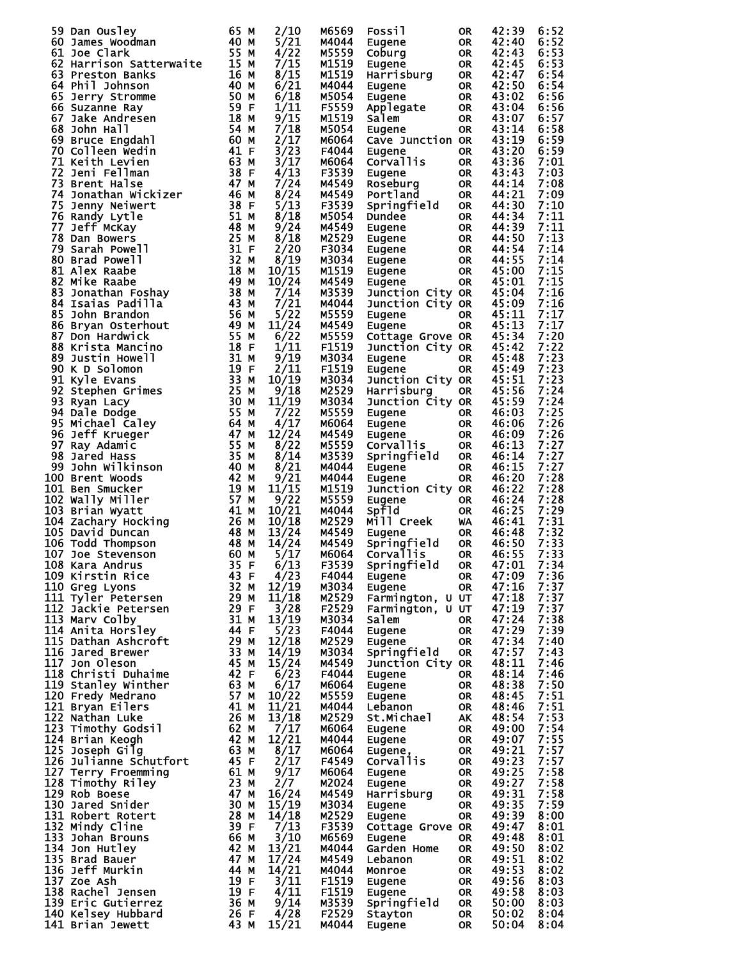|                                                                                                                                                                                                                                                     |                                                    | 2/10  | M6569 | Fossil                                                                     | 0R        | 42:39      | 6:52 |
|-----------------------------------------------------------------------------------------------------------------------------------------------------------------------------------------------------------------------------------------------------|----------------------------------------------------|-------|-------|----------------------------------------------------------------------------|-----------|------------|------|
|                                                                                                                                                                                                                                                     |                                                    | 5/21  | M4044 |                                                                            | <b>OR</b> | 42:40      | 6:52 |
|                                                                                                                                                                                                                                                     |                                                    | 4/22  | M5559 | Eugene<br>Coburg                                                           | <b>OR</b> | 42:43      | 6:53 |
|                                                                                                                                                                                                                                                     |                                                    | 7/15  | M1519 | Cobury<br>Eugene OR<br>Harrisburg OR<br>Turane OR                          |           | 42:45      | 6:53 |
|                                                                                                                                                                                                                                                     |                                                    | 8/15  | M1519 |                                                                            |           | 42:47      | 6:54 |
|                                                                                                                                                                                                                                                     |                                                    | 6/21  | M4044 |                                                                            |           | 42:50      | 6:54 |
|                                                                                                                                                                                                                                                     |                                                    | 6/18  | M5054 |                                                                            |           | 43:02      | 6:56 |
|                                                                                                                                                                                                                                                     |                                                    | 1/11  | F5559 |                                                                            |           | 43:04      | 6:56 |
|                                                                                                                                                                                                                                                     |                                                    |       |       |                                                                            |           |            |      |
|                                                                                                                                                                                                                                                     |                                                    | 9/15  | M1519 |                                                                            |           | 43:07      | 6:57 |
|                                                                                                                                                                                                                                                     |                                                    | 7/18  | M5054 | <b>Eugene</b><br>Applegate OR<br>Salem OR<br>Eugene OR                     |           | 43:14      | 6:58 |
|                                                                                                                                                                                                                                                     |                                                    | 2/17  | M6064 | Cave Junction OR                                                           |           | 43:19      | 6:59 |
|                                                                                                                                                                                                                                                     |                                                    | 3/23  | F4044 | Eugene                                                                     | <b>OR</b> | 43:20      | 6:59 |
|                                                                                                                                                                                                                                                     |                                                    | 3/17  | м6064 | Corvallis                                                                  | OR        | 43:36      | 7:01 |
|                                                                                                                                                                                                                                                     |                                                    | 4/13  | F3539 |                                                                            | OR        | 43:43      | 7:03 |
|                                                                                                                                                                                                                                                     |                                                    | 7/24  | M4549 |                                                                            | <b>OR</b> | 44:14      | 7:08 |
|                                                                                                                                                                                                                                                     |                                                    |       |       | Eugene<br>Roseburg<br>Portland                                             |           |            |      |
|                                                                                                                                                                                                                                                     |                                                    | 8/24  | M4549 |                                                                            | OR        | 44:21      | 7:09 |
|                                                                                                                                                                                                                                                     |                                                    | 5/13  | F3539 | Springfield                                                                | <b>OR</b> | 44:30      | 7:10 |
|                                                                                                                                                                                                                                                     |                                                    | 8/18  | M5054 | Dundee                                                                     | <b>OR</b> | 44:34      | 7:11 |
|                                                                                                                                                                                                                                                     |                                                    | 9/24  | M4549 | Eugene OR<br>Eugene OR<br>Eugene OR<br>Eugene OR<br>Eugene OR<br>Eugene OP |           | 44:39      | 7:11 |
|                                                                                                                                                                                                                                                     |                                                    | 8/18  | M2529 |                                                                            |           | 44:50      | 7:13 |
|                                                                                                                                                                                                                                                     |                                                    | 2/20  | F3034 |                                                                            |           | 44:54      | 7:14 |
|                                                                                                                                                                                                                                                     |                                                    | 8/19  | м3034 |                                                                            |           | 44:55      | 7:14 |
|                                                                                                                                                                                                                                                     |                                                    | 10/15 | M1519 |                                                                            |           | 45:00      | 7:15 |
|                                                                                                                                                                                                                                                     |                                                    | 10/24 | M4549 |                                                                            | OR        | 45:01      | 7:15 |
|                                                                                                                                                                                                                                                     |                                                    |       |       | Eugene                                                                     |           |            |      |
|                                                                                                                                                                                                                                                     |                                                    | 7/14  | M3539 | Junction City OR                                                           |           | 45:04      | 7:16 |
|                                                                                                                                                                                                                                                     |                                                    | 7/21  | M4044 | Junction City OR                                                           |           | 45:09      | 7:16 |
|                                                                                                                                                                                                                                                     |                                                    | 5/22  | M5559 | Eugene                                                                     | <b>OR</b> | 45:11      | 7:17 |
|                                                                                                                                                                                                                                                     |                                                    | 11/24 | M4549 | Eugene                                                                     | <b>OR</b> | 45:13      | 7:17 |
|                                                                                                                                                                                                                                                     |                                                    | 6/22  | M5559 | <b>Cottage Grove OR</b>                                                    |           | 45:34      | 7:20 |
|                                                                                                                                                                                                                                                     |                                                    | 1/11  | F1519 | Junction City OR                                                           |           | 45:42      | 7:22 |
|                                                                                                                                                                                                                                                     |                                                    | 9/19  | M3034 | Eugene                                                                     | <b>OR</b> | 45:48      | 7:23 |
|                                                                                                                                                                                                                                                     |                                                    | 2/11  | F1519 | Eugene                                                                     | OR        | 45:49      | 7:23 |
|                                                                                                                                                                                                                                                     |                                                    |       |       |                                                                            |           |            |      |
|                                                                                                                                                                                                                                                     |                                                    | 10/19 | M3034 | Junction City OR                                                           |           | 45:51      | 7:23 |
|                                                                                                                                                                                                                                                     |                                                    | 9/18  | M2529 | Harrisburg                                                                 | OR        | 45:56      | 7:24 |
|                                                                                                                                                                                                                                                     |                                                    | 11/19 | M3034 | Junction City OR                                                           |           | 45:59      | 7:24 |
|                                                                                                                                                                                                                                                     |                                                    | 7/22  | M5559 | Eugene<br>Eugene<br>Eugene<br>Corvallis<br>Springfield                     | OR        | 46:03      | 7:25 |
|                                                                                                                                                                                                                                                     |                                                    | 4/17  | м6064 |                                                                            | OR        | 46:06      | 7:26 |
|                                                                                                                                                                                                                                                     |                                                    | 12/24 | M4549 |                                                                            | OR        | 46:09      | 7:26 |
|                                                                                                                                                                                                                                                     |                                                    | 8/22  | M5559 |                                                                            | <b>OR</b> | 46:13      | 7:27 |
|                                                                                                                                                                                                                                                     |                                                    | 8/14  | M3539 |                                                                            | <b>OR</b> | 46:14      | 7:27 |
|                                                                                                                                                                                                                                                     |                                                    |       |       |                                                                            |           |            | 7:27 |
|                                                                                                                                                                                                                                                     |                                                    | 8/21  | M4044 | Eugene                                                                     | <b>OR</b> | 46:15      |      |
|                                                                                                                                                                                                                                                     |                                                    | 9/21  | M4044 | Eugene                                                                     | <b>OR</b> | 46:20      | 7:28 |
|                                                                                                                                                                                                                                                     |                                                    | 11/15 | M1519 | Junction City OR                                                           |           | 46:22      | 7:28 |
|                                                                                                                                                                                                                                                     |                                                    | 9/22  | M5559 | <b>Example 1</b><br>Eugene                                                 |           | 46:24      | 7:28 |
| 59 Dan Ousley 65 MM<br>60 James Woodman 65 MM<br>61 Joe Clark<br>62 Harrison Satterwaite<br>62 Harrison Satterwaite<br>63 Presston Banks 64 Phil Johnson 40 MM<br>66 Suzanne Ray Stromme<br>66 Suzanne Ray 55 Sponne 40 MM MM M60 Suzanne Ray 67 Ja |                                                    | 10/21 | M4044 | Spfld<br>Mill Creek WA<br>Eugene OR<br>Springfield OR<br>spfld             |           | 46:25      | 7:29 |
|                                                                                                                                                                                                                                                     |                                                    | 10/18 | M2529 |                                                                            |           | 46:41      | 7:31 |
|                                                                                                                                                                                                                                                     |                                                    | 13/24 | M4549 |                                                                            |           | 46:48      | 7:32 |
|                                                                                                                                                                                                                                                     |                                                    | 14/24 | M4549 |                                                                            |           | 46:50      | 7:33 |
|                                                                                                                                                                                                                                                     |                                                    | 5/17  | M6064 | <b>Corvallis</b>                                                           | <b>OR</b> | 46:55      | 7:33 |
| 35 F<br>108 Kara Andrus                                                                                                                                                                                                                             |                                                    | 6/13  | F3539 | Springfield OR                                                             |           | 47:01 7:34 |      |
| 109 Kirstin Rice                                                                                                                                                                                                                                    | 43 F                                               | 4/23  | F4044 | Eugene                                                                     | 0R        | 47:09      | 7:36 |
| 110 Greg Lyons                                                                                                                                                                                                                                      | 32 M                                               | 12/19 | M3034 | Eugene                                                                     | <b>OR</b> | 47:16      | 7:37 |
| 111 Tyler Petersen                                                                                                                                                                                                                                  |                                                    | 11/18 | M2529 | Farmington, U UT                                                           |           | 47:18      | 7:37 |
|                                                                                                                                                                                                                                                     |                                                    | 3/28  | F2529 |                                                                            |           | 47:19      | 7:37 |
| 112 Jackie Petersen                                                                                                                                                                                                                                 |                                                    |       |       | Farmington, U UT                                                           |           |            |      |
| 113 Marv Colby                                                                                                                                                                                                                                      |                                                    | 13/19 | м3034 | salem                                                                      | 0R        | 47:24      | 7:38 |
| 114 Anita Horsley                                                                                                                                                                                                                                   |                                                    | 5/23  | F4044 | Eugene                                                                     | <b>OR</b> | 47:29      | 7:39 |
| 115 Dathan Ashcroft                                                                                                                                                                                                                                 |                                                    | 12/18 | M2529 | Eugene                                                                     | <b>OR</b> | 47:34      | 7:40 |
| 116 Jared Brewer                                                                                                                                                                                                                                    |                                                    | 14/19 | м3034 | Springfield                                                                | <b>OR</b> | 47:57      | 7:43 |
| 117 Jon Oleson                                                                                                                                                                                                                                      |                                                    | 15/24 | M4549 | Junction City OR                                                           |           | 48:11      | 7:46 |
| 118 Christi Duhaime                                                                                                                                                                                                                                 | 32<br>29 29<br>31 44<br>44 29 33<br>45<br>42<br>42 | 6/23  | F4044 | Eugene                                                                     | 0R        | 48:14      | 7:46 |
| 119 Stanley Winther                                                                                                                                                                                                                                 |                                                    | 6/17  | м6064 | Eugene                                                                     | <b>OR</b> | 48:38      | 7:50 |
| 120 Fredy Medrano                                                                                                                                                                                                                                   |                                                    | 10/22 | M5559 | Eugene                                                                     | <b>OR</b> | 48:45      | 7:51 |
| 121 Bryan Eilers                                                                                                                                                                                                                                    |                                                    | 11/21 | M4044 | Lebanon                                                                    | <b>OR</b> | 48:46      | 7:51 |
| 122 Nathan Luke                                                                                                                                                                                                                                     |                                                    | 13/18 | M2529 | St.Michael                                                                 | AK        | 48:54      | 7:53 |
|                                                                                                                                                                                                                                                     |                                                    |       |       |                                                                            |           |            |      |
| 123 Timothy Godsil                                                                                                                                                                                                                                  |                                                    | 7/17  | м6064 | Eugene                                                                     | <b>OR</b> | 49:00      | 7:54 |
| 124 Brian Keogh                                                                                                                                                                                                                                     |                                                    | 12/21 | M4044 | Eugene                                                                     | OR.       | 49:07      | 7:55 |
| 125 Joseph Gilg                                                                                                                                                                                                                                     |                                                    | 8/17  | м6064 | Eugene,                                                                    | OR.       | 49:21      | 7:57 |
| 126 Julianne Schutfort                                                                                                                                                                                                                              |                                                    | 2/17  | F4549 | Corvallis                                                                  | OR.       | 49:23      | 7:57 |
| 127 Terry Froemming                                                                                                                                                                                                                                 |                                                    | 9/17  | M6064 | Eugene                                                                     | <b>OR</b> | 49:25      | 7:58 |
| 128 Timothy Riley                                                                                                                                                                                                                                   |                                                    | 2/7   | M2024 | Eugene                                                                     | OR.       | 49:27      | 7:58 |
| 129 Rob Boese                                                                                                                                                                                                                                       |                                                    | 16/24 | M4549 | Harrisburg                                                                 | 0R        | 49:31      | 7:58 |
| 130 Jared Snider                                                                                                                                                                                                                                    |                                                    | 15/19 | M3034 | Eugene                                                                     | 0R        | 49:35      | 7:59 |
| 131 Robert Rotert                                                                                                                                                                                                                                   |                                                    | 14/18 | M2529 | Eugene                                                                     | <b>OR</b> | 49:39      | 8:00 |
| 132 Mindy Cline                                                                                                                                                                                                                                     |                                                    | 7/13  | F3539 | Cottage Grove OR                                                           |           | 49:47      | 8:01 |
| 133 Johan Brouns                                                                                                                                                                                                                                    |                                                    | 3/10  | M6569 | Eugene                                                                     | OR        | 49:48      | 8:01 |
|                                                                                                                                                                                                                                                     |                                                    |       |       |                                                                            |           |            |      |
| 134 Jon Hutley                                                                                                                                                                                                                                      |                                                    | 13/21 | M4044 | Garden Home                                                                | <b>OR</b> | 49:50      | 8:02 |
| 135 Brad Bauer                                                                                                                                                                                                                                      |                                                    | 17/24 | M4549 | Lebanon                                                                    | <b>OR</b> | 49:51      | 8:02 |
| 136 Jeff Murkin                                                                                                                                                                                                                                     |                                                    | 14/21 | M4044 | Monroe                                                                     | OR.       | 49:53      | 8:02 |
| 137 Zoe Ash                                                                                                                                                                                                                                         |                                                    | 3/11  | F1519 | Eugene                                                                     | OR.       | 49:56      | 8:03 |
| 138 Rachel Jensen                                                                                                                                                                                                                                   | 47 M<br>44 M<br>44 M<br>19 F<br>19 F               | 4/11  | F1519 | Eugene                                                                     | OR.       | 49:58      | 8:03 |
| 139 Eric Gutierrez                                                                                                                                                                                                                                  | 36 M<br>26 F                                       | 9/14  | M3539 | Springfield                                                                | <b>OR</b> | 50:00      | 8:03 |
| 140 Kelsey Hubbard                                                                                                                                                                                                                                  |                                                    | 4/28  | F2529 | Stayton                                                                    | OR        | 50:02      | 8:04 |
| 141 Brian Jewett                                                                                                                                                                                                                                    | 43 M                                               | 15/21 | M4044 | Eugene                                                                     | <b>OR</b> | 50:04      | 8:04 |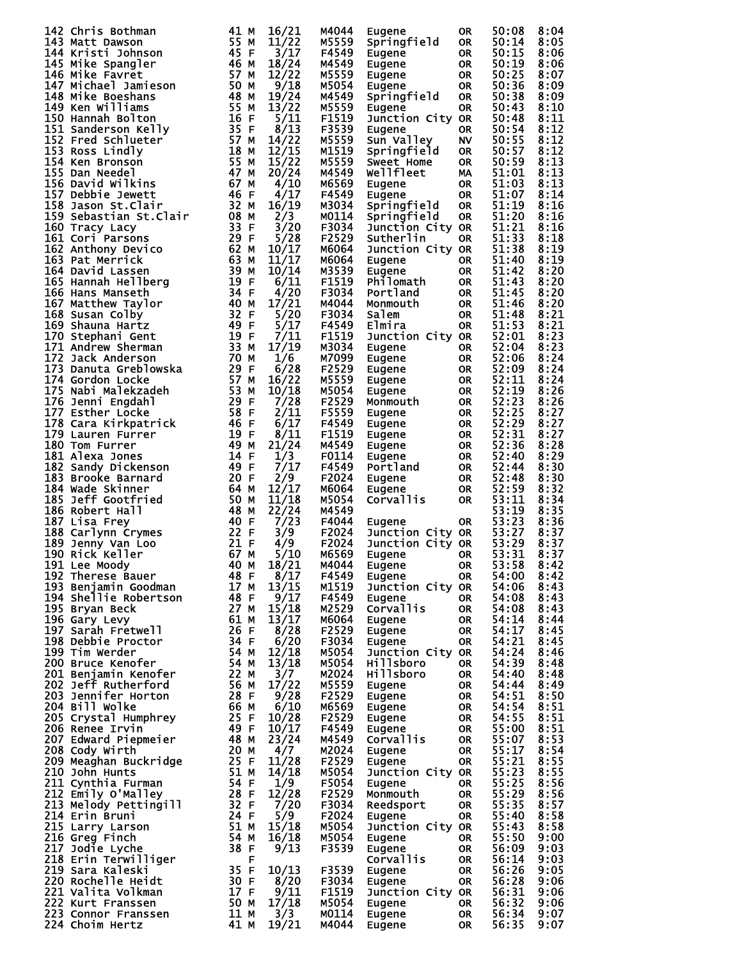| 142 Chris Bothman                                                                                                                                                                                                                                      | 41 M | 16/21 | M4044          | Eugene                             | 0R        | 50:08          | 8:04         |
|--------------------------------------------------------------------------------------------------------------------------------------------------------------------------------------------------------------------------------------------------------|------|-------|----------------|------------------------------------|-----------|----------------|--------------|
|                                                                                                                                                                                                                                                        |      | 11/22 | M5559          | Springfield                        | <b>OR</b> | 50:14          | 8:05         |
|                                                                                                                                                                                                                                                        |      | 3/17  | F4549          | Eugene                             | <b>OR</b> | 50:15          | 8:06         |
| 142 Chris Bothman<br>143 Matt Dawson<br>144 Kristi Johnson<br>144 Kristi Johnson<br>144 Kristi Johnson<br>145 Mike Spangler<br>146 Mike Favret<br>147 Michael Jamieson<br>148 Mike Favret<br>147 Mike Favret<br>147 Mike Favret<br>147 Mike Favret<br> |      | 18/24 | M4549          | Eugene                             | <b>OR</b> | 50:19          | 8:06         |
|                                                                                                                                                                                                                                                        |      | 12/22 | M5559          | Eugene                             | <b>OR</b> | 50:25          | 8:07         |
|                                                                                                                                                                                                                                                        |      | 9/18  | M5054          |                                    | <b>OR</b> | 50:36          | 8:09         |
|                                                                                                                                                                                                                                                        |      |       |                | Eugene                             |           |                |              |
|                                                                                                                                                                                                                                                        |      | 19/24 | M4549          | Springfield                        | <b>OR</b> | 50:38          | 8:09         |
|                                                                                                                                                                                                                                                        |      | 13/22 | M5559          | Eugene                             | <b>OR</b> | 50:43          | 8:10         |
|                                                                                                                                                                                                                                                        |      | 5/11  | F1519          | Junction City OR                   |           | 50:48          | 8:11         |
|                                                                                                                                                                                                                                                        |      | 8/13  | F3539          | Eugene                             | <b>OR</b> | 50:54          | 8:12         |
|                                                                                                                                                                                                                                                        |      | 14/22 | M5559          | Sun Valley                         | <b>NV</b> | 50:55          | 8:12         |
|                                                                                                                                                                                                                                                        |      |       |                |                                    |           |                |              |
|                                                                                                                                                                                                                                                        |      | 12/15 | M1519          | Springfield                        | <b>OR</b> | 50:57          | 8:12         |
|                                                                                                                                                                                                                                                        |      | 15/22 | M5559          | Sweet Home                         | <b>OR</b> | 50:59          | 8:13         |
|                                                                                                                                                                                                                                                        |      | 20/24 | M4549          | wellfleet                          | MA        | 51:01          | 8:13         |
|                                                                                                                                                                                                                                                        |      | 4/10  | M6569          | Eugene                             | <b>OR</b> | 51:03          | 8:13         |
|                                                                                                                                                                                                                                                        |      | 4/17  | F4549          | Eugene                             | <b>OR</b> | 51:07          | 8:14         |
|                                                                                                                                                                                                                                                        |      |       |                |                                    |           |                |              |
|                                                                                                                                                                                                                                                        |      | 16/19 | M3034          | Springfield                        | <b>OR</b> | 51:19          | 8:16         |
|                                                                                                                                                                                                                                                        |      | 2/3   | M0114          | Springfield                        | <b>OR</b> | 51:20          | 8:16         |
|                                                                                                                                                                                                                                                        |      | 3/20  | F3034          | Junction City OR                   |           | 51:21          | 8:16         |
|                                                                                                                                                                                                                                                        |      | 5/28  | F2529          | Sutherlin                          | <b>OR</b> | 51:33          | 8:18         |
|                                                                                                                                                                                                                                                        |      | 10/17 | M6064          |                                    |           | 51:38          | 8:19         |
|                                                                                                                                                                                                                                                        |      |       |                | Junction City OR                   |           |                |              |
|                                                                                                                                                                                                                                                        |      | 11/17 | M6064          | Eugene                             | <b>OR</b> | 51:40          | 8:19         |
|                                                                                                                                                                                                                                                        |      | 10/14 | M3539          | Eugene                             | <b>OR</b> | 51:42          | 8:20         |
|                                                                                                                                                                                                                                                        |      | 6/11  | F1519          | Philomath                          | <b>OR</b> | 51:43          | 8:20         |
|                                                                                                                                                                                                                                                        |      | 4/20  | F3034          | Portland                           | <b>OR</b> | 51:45          | 8:20         |
|                                                                                                                                                                                                                                                        |      | 17/21 | M4044          | Monmouth                           | <b>OR</b> | 51:46          | 8:20         |
|                                                                                                                                                                                                                                                        |      |       |                |                                    |           |                |              |
|                                                                                                                                                                                                                                                        |      | 5/20  | F3034          | Salem                              | <b>OR</b> | 51:48          | 8:21         |
|                                                                                                                                                                                                                                                        |      | 5/17  | F4549          | Elmira                             | <b>OR</b> | 51:53          | 8:21         |
|                                                                                                                                                                                                                                                        |      | 7/11  | F1519          | Junction City OR                   |           | 52:01          | 8:23         |
|                                                                                                                                                                                                                                                        |      | 17/19 | M3034          | Eugene                             | <b>OR</b> | 52:04          | 8:23         |
|                                                                                                                                                                                                                                                        |      |       | M7099          |                                    |           | 52:06          | 8:24         |
|                                                                                                                                                                                                                                                        |      | 1/6   |                | Eugene                             | <b>OR</b> |                |              |
|                                                                                                                                                                                                                                                        |      | 6/28  | F2529          | Eugene                             | <b>OR</b> | 52:09          | 8:24         |
|                                                                                                                                                                                                                                                        |      | 16/22 | M5559          | Eugene                             | <b>OR</b> | 52:11          | 8:24         |
|                                                                                                                                                                                                                                                        |      | 10/18 | M5054          | Eugene                             | <b>OR</b> | 52:19          | 8:26         |
|                                                                                                                                                                                                                                                        |      | 7/28  | F2529          | Monmouth                           | <b>OR</b> | 52:23          | 8:26         |
|                                                                                                                                                                                                                                                        |      | 2/11  |                |                                    |           |                | 8:27         |
|                                                                                                                                                                                                                                                        |      |       | F5559          | Eugene                             | OR.       | 52:25          |              |
|                                                                                                                                                                                                                                                        |      | 6/17  | F4549          | Eugene                             | 0R        | 52:29          | 8:27         |
|                                                                                                                                                                                                                                                        |      | 8/11  | F1519          | Eugene                             | 0R        | 52:31          | 8:27         |
|                                                                                                                                                                                                                                                        |      | 21/24 | M4549          | Eugene                             | <b>OR</b> | 52:36          | 8:28         |
|                                                                                                                                                                                                                                                        |      | 1/3   | F0114          | Eugene                             | 0R        | 52:40          | 8:29         |
|                                                                                                                                                                                                                                                        |      |       |                |                                    |           |                |              |
|                                                                                                                                                                                                                                                        |      | 7/17  | F4549          | Portland                           | <b>OR</b> | 52:44          | 8:30         |
|                                                                                                                                                                                                                                                        |      | 2/9   | F2024          | Eugene                             | <b>OR</b> | 52:48          | 8:30         |
|                                                                                                                                                                                                                                                        |      | 12/17 | M6064          | Eugene                             | <b>OR</b> | 52:59          | 8:32         |
|                                                                                                                                                                                                                                                        |      | 11/18 | M5054          | Corvallis                          | <b>OR</b> | 53:11          | 8:34         |
|                                                                                                                                                                                                                                                        |      | 22/24 | M4549          |                                    |           | 53:19          | 8:35         |
|                                                                                                                                                                                                                                                        |      |       |                |                                    |           |                |              |
|                                                                                                                                                                                                                                                        |      | 7/23  | F4044          | Eugene                             | <b>OR</b> | 53:23          | 8:36         |
|                                                                                                                                                                                                                                                        |      | 3/9   | F2024          | Junction City OR                   |           | 53:27          | 8:37         |
|                                                                                                                                                                                                                                                        |      | 4/9   | F2024          | Junction City OR                   |           | 53:29          | 8:37         |
|                                                                                                                                                                                                                                                        |      | 5/10  | M6569          | Eugene                             | 0R        | 53:31          | 8:37         |
|                                                                                                                                                                                                                                                        |      |       | M4044          | Eugene                             | OR        | 53:58          | 8:42         |
|                                                                                                                                                                                                                                                        |      |       | F4549          |                                    | <b>OR</b> | 54:00          | 8:42         |
|                                                                                                                                                                                                                                                        |      |       |                | Eugene                             |           |                |              |
|                                                                                                                                                                                                                                                        |      |       | M1519          | Junction City OR                   |           | 54:06          | 8:43         |
|                                                                                                                                                                                                                                                        |      |       | F4549          | agane OR<br>Corvallis OR<br>Eugene |           | 54:08          | 8:43         |
|                                                                                                                                                                                                                                                        |      |       | M2529          |                                    |           | 54:08          | 8:43         |
|                                                                                                                                                                                                                                                        |      |       | M6064          | Eugene                             | <b>OR</b> | 54:14          | 8:44         |
|                                                                                                                                                                                                                                                        |      |       | F2529          | <sub>Eugene</sub><br>Eugene        | <b>OR</b> | 54:17          | 8:45         |
|                                                                                                                                                                                                                                                        |      |       |                |                                    |           |                |              |
|                                                                                                                                                                                                                                                        |      |       | F3034          | Eugene                             | <b>OR</b> | 54:21          | 8:45         |
|                                                                                                                                                                                                                                                        |      |       | M5054          | Junction City OR                   |           | 54:24          | 8:46         |
|                                                                                                                                                                                                                                                        |      |       | M5054          | Hillsboro                          | OR.       | 54:39          | 8:48         |
|                                                                                                                                                                                                                                                        |      |       | M2024          | Hillsboro                          | <b>OR</b> | 54:40          | 8:48         |
|                                                                                                                                                                                                                                                        |      |       | M5559          | Eugene                             |           | 54:44          | 8:49         |
|                                                                                                                                                                                                                                                        |      |       | F2529          | OR                                 |           | 54:51          | 8:50         |
|                                                                                                                                                                                                                                                        |      |       |                | Eugene                             |           |                |              |
|                                                                                                                                                                                                                                                        |      |       | M6569          | Eugene<br>Eugene                   | OR<br>OR  | 54:54          | 8:51         |
|                                                                                                                                                                                                                                                        |      |       | F2529          |                                    |           | 54:55          | 8:51         |
|                                                                                                                                                                                                                                                        |      |       | F4549          | Eugene OR<br>Corvallis OR          |           | 55:00          | 8:51         |
|                                                                                                                                                                                                                                                        |      |       | M4549          |                                    |           | 55:07          | 8:53         |
|                                                                                                                                                                                                                                                        |      |       | M2024          |                                    | <b>OR</b> | 55:17          | 8:54         |
|                                                                                                                                                                                                                                                        |      |       |                | Eugene                             |           |                |              |
|                                                                                                                                                                                                                                                        |      |       | F2529          | Eugene                             | <b>OR</b> | 55:21          | 8:55         |
|                                                                                                                                                                                                                                                        |      |       | M5054          | Junction City OR                   |           | 55:23          | 8:55         |
|                                                                                                                                                                                                                                                        |      |       | F5054          | Eugene                             | <b>OR</b> | 55:25          | 8:56         |
|                                                                                                                                                                                                                                                        |      |       | F2529          |                                    |           | 55:29          | 8:56         |
|                                                                                                                                                                                                                                                        |      |       | F3034          |                                    |           | 55:35          | 8:57         |
|                                                                                                                                                                                                                                                        |      |       |                |                                    |           |                |              |
|                                                                                                                                                                                                                                                        |      |       | F2024          | Eugene                             | <b>OR</b> | 55:40          | 8:58         |
|                                                                                                                                                                                                                                                        |      |       | M5054          | Junction City OR                   |           | 55:43          | 8:58         |
|                                                                                                                                                                                                                                                        |      |       | M5054          | Eugene                             | OR        | 55:50          | 9:00         |
|                                                                                                                                                                                                                                                        |      |       | F3539          | Eugene                             | OR        | 56:09          | 9:03         |
|                                                                                                                                                                                                                                                        |      |       |                |                                    |           |                |              |
|                                                                                                                                                                                                                                                        |      |       |                | Corvallis OR<br>Eugene OR          |           | 56:14          | 9:03         |
|                                                                                                                                                                                                                                                        |      |       | F3539          | Eugene                             |           | 56:26          | 9:05         |
|                                                                                                                                                                                                                                                        |      |       |                |                                    |           |                |              |
|                                                                                                                                                                                                                                                        |      |       | F3034          | Eugene                             | <b>OR</b> | 56:28          | 9:06         |
|                                                                                                                                                                                                                                                        |      |       |                |                                    |           |                |              |
|                                                                                                                                                                                                                                                        |      |       | F1519          | Junction City OR                   |           | 56:31          | 9:06         |
|                                                                                                                                                                                                                                                        |      |       | M5054          | Eugene                             |           | 56:32          | 9:06         |
| 189 Jenny Van Loo<br>191 Rick Keller<br>191 Lee Moody<br>191 Lee Moody<br>191 Lee Moody<br>192 Therese Bauer<br>192 Benjamin Goodman<br>187 Baller<br>194 Shellie Robertson<br>187 Baller<br>194 Shellie Robertson<br>187 Baller<br>197 Sarah Fretwel  |      |       | M0114<br>M4044 | OR<br>OR<br>Eugene<br>Eugene       | <b>OR</b> | 56:34<br>56:35 | 9:07<br>9:07 |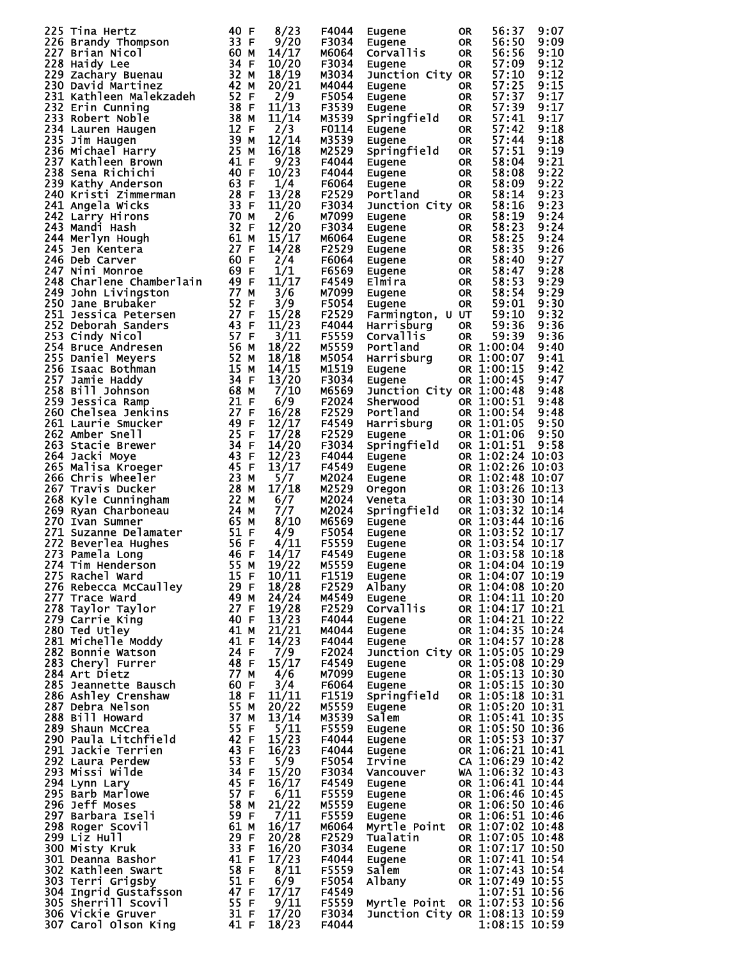| 225 Tina Hertz<br>1227 Brandy Thompson<br>1327 Brandy Thompson<br>1327 Brandy Thompson<br>1328 Haidy Lee<br>1320 Baxid Martinez<br>1320 David Martinez<br>1320 David Martinez<br>1320 David Martinez<br>1320 Rathleen Malekzadeh<br>1328 Michael<br>г4044 Eugene<br>F3034 Eugen <u>e</u><br>мбоб4 C-<br>56:50<br>9:09<br><b>OR</b><br>$M6064$ Corvallis<br>56:56<br>9:10<br><b>OR</b><br>57:09<br>9:12<br>F3034 Eugene<br><b>OR</b><br>9:12<br>57:10<br>Junction City OR<br>M3034<br>57:25<br>57:37<br>9:15<br>M4044<br>OR .<br>Eugene<br>9:17<br>F5054<br><b>OR</b><br>Eugene<br>57:39<br>9:17<br>F3539<br><b>OR</b><br>Eugene<br>Springfield<br>9:17<br>57:41<br>M3539<br><b>OR</b><br>57:42<br>9:18<br>F0114<br><b>OR</b><br>Eugene<br>Eugene OR<br>Springfield OR<br>57:44<br>9:18<br>M3539<br><b>OR</b><br>57:51<br>9:19<br>M2529<br>9:21<br>58:04<br>F4044 Eugene<br><b>OR</b><br>Springifficion<br>Eugene OR<br>Eugene OR<br>Eugene OR<br>הבר+ה<br>9:22<br>58:08<br>F4044<br>9:22<br>58:09<br>F6064<br>9:23<br>58:14<br>F2529 Portland<br>9:23<br>58:16<br>F3034 Junction City OR<br>9:24<br>58:19<br>м7099<br><b>OR</b><br>Eugene<br>58:23<br>9:24<br><b>OR</b><br>F3034<br>Eugene<br>58:25<br>9:24<br>м6064<br>Eugene<br>Eugene OR<br>Eugene OR<br>Eugene OR<br>Elmira OR<br>Eugene OR<br>Eugene OR<br>Eugene OR<br>58:35<br>9:26<br>F2529<br>9:27<br>F6064<br>58:40<br>9:28<br>F6569<br>58:47<br>9:29<br>58:53<br>F4549<br>9:29<br>58:54<br>M7099<br>9:30<br>59:01<br>F5054 Eugene<br>F2529<br>59:10<br>9:32<br>Farmington, U UT<br>59:36<br>9:36<br>F4044 Harrisburg OR<br>F5559<br>9:36<br>Corvallis OR 59:39<br>Corvallis OR 59:39<br>Portland OR 1:00:04<br>Harrisburg OR 1:00:07<br>Eugene OR 1:00:45<br>M5559<br>9:40<br>9:41<br>M5054<br>M1519<br>9:42<br>9:47<br>F3034<br>OR 1:00:45<br>Eugene<br>Junction City OR 1:00:48<br>9:48<br>м6569<br>Junction City OR 1:00:48 9:48<br>Sherwood OR 1:00:51 9:48<br>Portland OR 1:00:54 9:48<br>Harrisburg OR 1:01:05 9:50<br>Eugene OR 1:01:06 9:50<br>Springfield OR 1:01:51 9:58<br>Eugene OR 1:02:24 10:03<br>Eugene OR 1:02:24 10:07<br>Oregon O<br>F2024<br>F2529<br>F4549<br>F2529<br>F3034<br>F4044<br>F4549<br>M2024<br>M2529<br>M2024<br>M2024<br>M6569<br>F5054<br>F5559<br>F4549<br>272 Beverlea Hughes<br>272 Beverlea Hughes<br>273 Pamela Long<br>274 Tim Henderson<br>274 Tim Henderson<br>275 Rachel ward<br>275 Rachel ward<br>275 Rachel ward<br>285 Rebecca McCaulley<br>287 Trace ward<br>277 Trace ward<br>287 Trace ward<br>28<br>M5559<br>Eugene OR 1:04:04 10:19<br>$F1519$ Eugene<br>$F2529$ Albany<br>OR 1:04:07 10:19<br>OR 1:04:07 10:19<br>OR 1:04:08 10:20<br>Eugene OR 1:04:11 10:20<br>Corvallis OR 1:04:17 10:21<br>M4549<br>F2529<br>OR $1:04:21$ 10:22<br>OR 1:04:35 10:24<br>F4044<br>Eugene<br>M4044<br>Eugene<br>OR 1:04:57 10:28<br>F4044<br>Eugene<br>Junction City OR 1:05:05 10:29<br>F2024<br>OR 1:05:08 10:29<br>F4549<br>Eugene<br>OR 1:05:13 10:30<br>M7099<br>Eugene<br>Eugene OR 1:05:15 10:30<br>Springfield OR 1:05:18 10:31<br>F6064<br>F1519<br>Eugene OR 1:05:20 10:31<br>Eugene OR 1:05:20 10:31<br>Salem OR 1:05:41 10:35<br>Eugene OR 1:05:50 10:36<br>Eugene OR 1:05:53 10:37<br>Eugene OR 1:06:21 10:41<br>Tryine CA 1:06:29 10:42<br>M5559<br>M3539<br>F5559<br>F4044<br>F4044<br>F5054<br>Vancouver<br>Vancouver<br>WA 1:06:32 10:43<br>Eugene<br>OR 1:06:46 10:45<br>Eugene<br>OR 1:06:50 10:46<br>OR 1:06:50 10:46<br>F3034<br>F4549<br>F5559<br>M5559<br>F5559<br>OR 1:06:51 10:46<br>Eugene<br>Myrtle Point OR 1:07:02 10:48<br>M6064<br>OR 1:07:05 10:48<br>F2529<br>Tualatin<br>OR 1:07:05 10:48<br>OR 1:07:17 10:50<br>F3034<br>Eugene<br>OR 1:07:41 10:54<br>OR 1:07:43 10:54<br>F4044<br>Eugene<br>F5559<br>Salem<br>Albany<br>OR 1:07:49 10:55<br>F5054<br>1:07:51 10:56<br>F4549<br>Myrtle Point OR 1:07:53 10:56<br>F5559<br>F3034 Junction City OR 1:08:13 10:59<br>1:08:15 10:59<br>F4044 |  |  | 0R | 56:37 | 9:07 |
|--------------------------------------------------------------------------------------------------------------------------------------------------------------------------------------------------------------------------------------------------------------------------------------------------------------------------------------------------------------------------------------------------------------------------------------------------------------------------------------------------------------------------------------------------------------------------------------------------------------------------------------------------------------------------------------------------------------------------------------------------------------------------------------------------------------------------------------------------------------------------------------------------------------------------------------------------------------------------------------------------------------------------------------------------------------------------------------------------------------------------------------------------------------------------------------------------------------------------------------------------------------------------------------------------------------------------------------------------------------------------------------------------------------------------------------------------------------------------------------------------------------------------------------------------------------------------------------------------------------------------------------------------------------------------------------------------------------------------------------------------------------------------------------------------------------------------------------------------------------------------------------------------------------------------------------------------------------------------------------------------------------------------------------------------------------------------------------------------------------------------------------------------------------------------------------------------------------------------------------------------------------------------------------------------------------------------------------------------------------------------------------------------------------------------------------------------------------------------------------------------------------------------------------------------------------------------------------------------------------------------------------------------------------------------------------------------------------------------------------------------------------------------------------------------------------------------------------------------------------------------------------------------------------------------------------------------------------------------------------------------------------------------------------------------------------------------------------------------------------------------------------------------------------------------------------------------------------------------------------------------------------------------------------------------------------------------------------------------------------------------------------------------------------------------------------------------------------------------------------------------------------------------------------------------------------------------------------------------------------------------------------------------------------------------------------------------------------------------------------------------------------------------------------------------------------------------------------------------------------------------------------------------------------------------------|--|--|----|-------|------|
|                                                                                                                                                                                                                                                                                                                                                                                                                                                                                                                                                                                                                                                                                                                                                                                                                                                                                                                                                                                                                                                                                                                                                                                                                                                                                                                                                                                                                                                                                                                                                                                                                                                                                                                                                                                                                                                                                                                                                                                                                                                                                                                                                                                                                                                                                                                                                                                                                                                                                                                                                                                                                                                                                                                                                                                                                                                                                                                                                                                                                                                                                                                                                                                                                                                                                                                                                                                                                                                                                                                                                                                                                                                                                                                                                                                                                                                                                                                                |  |  |    |       |      |
|                                                                                                                                                                                                                                                                                                                                                                                                                                                                                                                                                                                                                                                                                                                                                                                                                                                                                                                                                                                                                                                                                                                                                                                                                                                                                                                                                                                                                                                                                                                                                                                                                                                                                                                                                                                                                                                                                                                                                                                                                                                                                                                                                                                                                                                                                                                                                                                                                                                                                                                                                                                                                                                                                                                                                                                                                                                                                                                                                                                                                                                                                                                                                                                                                                                                                                                                                                                                                                                                                                                                                                                                                                                                                                                                                                                                                                                                                                                                |  |  |    |       |      |
|                                                                                                                                                                                                                                                                                                                                                                                                                                                                                                                                                                                                                                                                                                                                                                                                                                                                                                                                                                                                                                                                                                                                                                                                                                                                                                                                                                                                                                                                                                                                                                                                                                                                                                                                                                                                                                                                                                                                                                                                                                                                                                                                                                                                                                                                                                                                                                                                                                                                                                                                                                                                                                                                                                                                                                                                                                                                                                                                                                                                                                                                                                                                                                                                                                                                                                                                                                                                                                                                                                                                                                                                                                                                                                                                                                                                                                                                                                                                |  |  |    |       |      |
|                                                                                                                                                                                                                                                                                                                                                                                                                                                                                                                                                                                                                                                                                                                                                                                                                                                                                                                                                                                                                                                                                                                                                                                                                                                                                                                                                                                                                                                                                                                                                                                                                                                                                                                                                                                                                                                                                                                                                                                                                                                                                                                                                                                                                                                                                                                                                                                                                                                                                                                                                                                                                                                                                                                                                                                                                                                                                                                                                                                                                                                                                                                                                                                                                                                                                                                                                                                                                                                                                                                                                                                                                                                                                                                                                                                                                                                                                                                                |  |  |    |       |      |
|                                                                                                                                                                                                                                                                                                                                                                                                                                                                                                                                                                                                                                                                                                                                                                                                                                                                                                                                                                                                                                                                                                                                                                                                                                                                                                                                                                                                                                                                                                                                                                                                                                                                                                                                                                                                                                                                                                                                                                                                                                                                                                                                                                                                                                                                                                                                                                                                                                                                                                                                                                                                                                                                                                                                                                                                                                                                                                                                                                                                                                                                                                                                                                                                                                                                                                                                                                                                                                                                                                                                                                                                                                                                                                                                                                                                                                                                                                                                |  |  |    |       |      |
|                                                                                                                                                                                                                                                                                                                                                                                                                                                                                                                                                                                                                                                                                                                                                                                                                                                                                                                                                                                                                                                                                                                                                                                                                                                                                                                                                                                                                                                                                                                                                                                                                                                                                                                                                                                                                                                                                                                                                                                                                                                                                                                                                                                                                                                                                                                                                                                                                                                                                                                                                                                                                                                                                                                                                                                                                                                                                                                                                                                                                                                                                                                                                                                                                                                                                                                                                                                                                                                                                                                                                                                                                                                                                                                                                                                                                                                                                                                                |  |  |    |       |      |
|                                                                                                                                                                                                                                                                                                                                                                                                                                                                                                                                                                                                                                                                                                                                                                                                                                                                                                                                                                                                                                                                                                                                                                                                                                                                                                                                                                                                                                                                                                                                                                                                                                                                                                                                                                                                                                                                                                                                                                                                                                                                                                                                                                                                                                                                                                                                                                                                                                                                                                                                                                                                                                                                                                                                                                                                                                                                                                                                                                                                                                                                                                                                                                                                                                                                                                                                                                                                                                                                                                                                                                                                                                                                                                                                                                                                                                                                                                                                |  |  |    |       |      |
|                                                                                                                                                                                                                                                                                                                                                                                                                                                                                                                                                                                                                                                                                                                                                                                                                                                                                                                                                                                                                                                                                                                                                                                                                                                                                                                                                                                                                                                                                                                                                                                                                                                                                                                                                                                                                                                                                                                                                                                                                                                                                                                                                                                                                                                                                                                                                                                                                                                                                                                                                                                                                                                                                                                                                                                                                                                                                                                                                                                                                                                                                                                                                                                                                                                                                                                                                                                                                                                                                                                                                                                                                                                                                                                                                                                                                                                                                                                                |  |  |    |       |      |
|                                                                                                                                                                                                                                                                                                                                                                                                                                                                                                                                                                                                                                                                                                                                                                                                                                                                                                                                                                                                                                                                                                                                                                                                                                                                                                                                                                                                                                                                                                                                                                                                                                                                                                                                                                                                                                                                                                                                                                                                                                                                                                                                                                                                                                                                                                                                                                                                                                                                                                                                                                                                                                                                                                                                                                                                                                                                                                                                                                                                                                                                                                                                                                                                                                                                                                                                                                                                                                                                                                                                                                                                                                                                                                                                                                                                                                                                                                                                |  |  |    |       |      |
|                                                                                                                                                                                                                                                                                                                                                                                                                                                                                                                                                                                                                                                                                                                                                                                                                                                                                                                                                                                                                                                                                                                                                                                                                                                                                                                                                                                                                                                                                                                                                                                                                                                                                                                                                                                                                                                                                                                                                                                                                                                                                                                                                                                                                                                                                                                                                                                                                                                                                                                                                                                                                                                                                                                                                                                                                                                                                                                                                                                                                                                                                                                                                                                                                                                                                                                                                                                                                                                                                                                                                                                                                                                                                                                                                                                                                                                                                                                                |  |  |    |       |      |
|                                                                                                                                                                                                                                                                                                                                                                                                                                                                                                                                                                                                                                                                                                                                                                                                                                                                                                                                                                                                                                                                                                                                                                                                                                                                                                                                                                                                                                                                                                                                                                                                                                                                                                                                                                                                                                                                                                                                                                                                                                                                                                                                                                                                                                                                                                                                                                                                                                                                                                                                                                                                                                                                                                                                                                                                                                                                                                                                                                                                                                                                                                                                                                                                                                                                                                                                                                                                                                                                                                                                                                                                                                                                                                                                                                                                                                                                                                                                |  |  |    |       |      |
|                                                                                                                                                                                                                                                                                                                                                                                                                                                                                                                                                                                                                                                                                                                                                                                                                                                                                                                                                                                                                                                                                                                                                                                                                                                                                                                                                                                                                                                                                                                                                                                                                                                                                                                                                                                                                                                                                                                                                                                                                                                                                                                                                                                                                                                                                                                                                                                                                                                                                                                                                                                                                                                                                                                                                                                                                                                                                                                                                                                                                                                                                                                                                                                                                                                                                                                                                                                                                                                                                                                                                                                                                                                                                                                                                                                                                                                                                                                                |  |  |    |       |      |
|                                                                                                                                                                                                                                                                                                                                                                                                                                                                                                                                                                                                                                                                                                                                                                                                                                                                                                                                                                                                                                                                                                                                                                                                                                                                                                                                                                                                                                                                                                                                                                                                                                                                                                                                                                                                                                                                                                                                                                                                                                                                                                                                                                                                                                                                                                                                                                                                                                                                                                                                                                                                                                                                                                                                                                                                                                                                                                                                                                                                                                                                                                                                                                                                                                                                                                                                                                                                                                                                                                                                                                                                                                                                                                                                                                                                                                                                                                                                |  |  |    |       |      |
|                                                                                                                                                                                                                                                                                                                                                                                                                                                                                                                                                                                                                                                                                                                                                                                                                                                                                                                                                                                                                                                                                                                                                                                                                                                                                                                                                                                                                                                                                                                                                                                                                                                                                                                                                                                                                                                                                                                                                                                                                                                                                                                                                                                                                                                                                                                                                                                                                                                                                                                                                                                                                                                                                                                                                                                                                                                                                                                                                                                                                                                                                                                                                                                                                                                                                                                                                                                                                                                                                                                                                                                                                                                                                                                                                                                                                                                                                                                                |  |  |    |       |      |
|                                                                                                                                                                                                                                                                                                                                                                                                                                                                                                                                                                                                                                                                                                                                                                                                                                                                                                                                                                                                                                                                                                                                                                                                                                                                                                                                                                                                                                                                                                                                                                                                                                                                                                                                                                                                                                                                                                                                                                                                                                                                                                                                                                                                                                                                                                                                                                                                                                                                                                                                                                                                                                                                                                                                                                                                                                                                                                                                                                                                                                                                                                                                                                                                                                                                                                                                                                                                                                                                                                                                                                                                                                                                                                                                                                                                                                                                                                                                |  |  |    |       |      |
|                                                                                                                                                                                                                                                                                                                                                                                                                                                                                                                                                                                                                                                                                                                                                                                                                                                                                                                                                                                                                                                                                                                                                                                                                                                                                                                                                                                                                                                                                                                                                                                                                                                                                                                                                                                                                                                                                                                                                                                                                                                                                                                                                                                                                                                                                                                                                                                                                                                                                                                                                                                                                                                                                                                                                                                                                                                                                                                                                                                                                                                                                                                                                                                                                                                                                                                                                                                                                                                                                                                                                                                                                                                                                                                                                                                                                                                                                                                                |  |  |    |       |      |
|                                                                                                                                                                                                                                                                                                                                                                                                                                                                                                                                                                                                                                                                                                                                                                                                                                                                                                                                                                                                                                                                                                                                                                                                                                                                                                                                                                                                                                                                                                                                                                                                                                                                                                                                                                                                                                                                                                                                                                                                                                                                                                                                                                                                                                                                                                                                                                                                                                                                                                                                                                                                                                                                                                                                                                                                                                                                                                                                                                                                                                                                                                                                                                                                                                                                                                                                                                                                                                                                                                                                                                                                                                                                                                                                                                                                                                                                                                                                |  |  |    |       |      |
|                                                                                                                                                                                                                                                                                                                                                                                                                                                                                                                                                                                                                                                                                                                                                                                                                                                                                                                                                                                                                                                                                                                                                                                                                                                                                                                                                                                                                                                                                                                                                                                                                                                                                                                                                                                                                                                                                                                                                                                                                                                                                                                                                                                                                                                                                                                                                                                                                                                                                                                                                                                                                                                                                                                                                                                                                                                                                                                                                                                                                                                                                                                                                                                                                                                                                                                                                                                                                                                                                                                                                                                                                                                                                                                                                                                                                                                                                                                                |  |  |    |       |      |
|                                                                                                                                                                                                                                                                                                                                                                                                                                                                                                                                                                                                                                                                                                                                                                                                                                                                                                                                                                                                                                                                                                                                                                                                                                                                                                                                                                                                                                                                                                                                                                                                                                                                                                                                                                                                                                                                                                                                                                                                                                                                                                                                                                                                                                                                                                                                                                                                                                                                                                                                                                                                                                                                                                                                                                                                                                                                                                                                                                                                                                                                                                                                                                                                                                                                                                                                                                                                                                                                                                                                                                                                                                                                                                                                                                                                                                                                                                                                |  |  |    |       |      |
|                                                                                                                                                                                                                                                                                                                                                                                                                                                                                                                                                                                                                                                                                                                                                                                                                                                                                                                                                                                                                                                                                                                                                                                                                                                                                                                                                                                                                                                                                                                                                                                                                                                                                                                                                                                                                                                                                                                                                                                                                                                                                                                                                                                                                                                                                                                                                                                                                                                                                                                                                                                                                                                                                                                                                                                                                                                                                                                                                                                                                                                                                                                                                                                                                                                                                                                                                                                                                                                                                                                                                                                                                                                                                                                                                                                                                                                                                                                                |  |  |    |       |      |
|                                                                                                                                                                                                                                                                                                                                                                                                                                                                                                                                                                                                                                                                                                                                                                                                                                                                                                                                                                                                                                                                                                                                                                                                                                                                                                                                                                                                                                                                                                                                                                                                                                                                                                                                                                                                                                                                                                                                                                                                                                                                                                                                                                                                                                                                                                                                                                                                                                                                                                                                                                                                                                                                                                                                                                                                                                                                                                                                                                                                                                                                                                                                                                                                                                                                                                                                                                                                                                                                                                                                                                                                                                                                                                                                                                                                                                                                                                                                |  |  |    |       |      |
|                                                                                                                                                                                                                                                                                                                                                                                                                                                                                                                                                                                                                                                                                                                                                                                                                                                                                                                                                                                                                                                                                                                                                                                                                                                                                                                                                                                                                                                                                                                                                                                                                                                                                                                                                                                                                                                                                                                                                                                                                                                                                                                                                                                                                                                                                                                                                                                                                                                                                                                                                                                                                                                                                                                                                                                                                                                                                                                                                                                                                                                                                                                                                                                                                                                                                                                                                                                                                                                                                                                                                                                                                                                                                                                                                                                                                                                                                                                                |  |  |    |       |      |
|                                                                                                                                                                                                                                                                                                                                                                                                                                                                                                                                                                                                                                                                                                                                                                                                                                                                                                                                                                                                                                                                                                                                                                                                                                                                                                                                                                                                                                                                                                                                                                                                                                                                                                                                                                                                                                                                                                                                                                                                                                                                                                                                                                                                                                                                                                                                                                                                                                                                                                                                                                                                                                                                                                                                                                                                                                                                                                                                                                                                                                                                                                                                                                                                                                                                                                                                                                                                                                                                                                                                                                                                                                                                                                                                                                                                                                                                                                                                |  |  |    |       |      |
|                                                                                                                                                                                                                                                                                                                                                                                                                                                                                                                                                                                                                                                                                                                                                                                                                                                                                                                                                                                                                                                                                                                                                                                                                                                                                                                                                                                                                                                                                                                                                                                                                                                                                                                                                                                                                                                                                                                                                                                                                                                                                                                                                                                                                                                                                                                                                                                                                                                                                                                                                                                                                                                                                                                                                                                                                                                                                                                                                                                                                                                                                                                                                                                                                                                                                                                                                                                                                                                                                                                                                                                                                                                                                                                                                                                                                                                                                                                                |  |  |    |       |      |
|                                                                                                                                                                                                                                                                                                                                                                                                                                                                                                                                                                                                                                                                                                                                                                                                                                                                                                                                                                                                                                                                                                                                                                                                                                                                                                                                                                                                                                                                                                                                                                                                                                                                                                                                                                                                                                                                                                                                                                                                                                                                                                                                                                                                                                                                                                                                                                                                                                                                                                                                                                                                                                                                                                                                                                                                                                                                                                                                                                                                                                                                                                                                                                                                                                                                                                                                                                                                                                                                                                                                                                                                                                                                                                                                                                                                                                                                                                                                |  |  |    |       |      |
|                                                                                                                                                                                                                                                                                                                                                                                                                                                                                                                                                                                                                                                                                                                                                                                                                                                                                                                                                                                                                                                                                                                                                                                                                                                                                                                                                                                                                                                                                                                                                                                                                                                                                                                                                                                                                                                                                                                                                                                                                                                                                                                                                                                                                                                                                                                                                                                                                                                                                                                                                                                                                                                                                                                                                                                                                                                                                                                                                                                                                                                                                                                                                                                                                                                                                                                                                                                                                                                                                                                                                                                                                                                                                                                                                                                                                                                                                                                                |  |  |    |       |      |
|                                                                                                                                                                                                                                                                                                                                                                                                                                                                                                                                                                                                                                                                                                                                                                                                                                                                                                                                                                                                                                                                                                                                                                                                                                                                                                                                                                                                                                                                                                                                                                                                                                                                                                                                                                                                                                                                                                                                                                                                                                                                                                                                                                                                                                                                                                                                                                                                                                                                                                                                                                                                                                                                                                                                                                                                                                                                                                                                                                                                                                                                                                                                                                                                                                                                                                                                                                                                                                                                                                                                                                                                                                                                                                                                                                                                                                                                                                                                |  |  |    |       |      |
|                                                                                                                                                                                                                                                                                                                                                                                                                                                                                                                                                                                                                                                                                                                                                                                                                                                                                                                                                                                                                                                                                                                                                                                                                                                                                                                                                                                                                                                                                                                                                                                                                                                                                                                                                                                                                                                                                                                                                                                                                                                                                                                                                                                                                                                                                                                                                                                                                                                                                                                                                                                                                                                                                                                                                                                                                                                                                                                                                                                                                                                                                                                                                                                                                                                                                                                                                                                                                                                                                                                                                                                                                                                                                                                                                                                                                                                                                                                                |  |  |    |       |      |
|                                                                                                                                                                                                                                                                                                                                                                                                                                                                                                                                                                                                                                                                                                                                                                                                                                                                                                                                                                                                                                                                                                                                                                                                                                                                                                                                                                                                                                                                                                                                                                                                                                                                                                                                                                                                                                                                                                                                                                                                                                                                                                                                                                                                                                                                                                                                                                                                                                                                                                                                                                                                                                                                                                                                                                                                                                                                                                                                                                                                                                                                                                                                                                                                                                                                                                                                                                                                                                                                                                                                                                                                                                                                                                                                                                                                                                                                                                                                |  |  |    |       |      |
|                                                                                                                                                                                                                                                                                                                                                                                                                                                                                                                                                                                                                                                                                                                                                                                                                                                                                                                                                                                                                                                                                                                                                                                                                                                                                                                                                                                                                                                                                                                                                                                                                                                                                                                                                                                                                                                                                                                                                                                                                                                                                                                                                                                                                                                                                                                                                                                                                                                                                                                                                                                                                                                                                                                                                                                                                                                                                                                                                                                                                                                                                                                                                                                                                                                                                                                                                                                                                                                                                                                                                                                                                                                                                                                                                                                                                                                                                                                                |  |  |    |       |      |
|                                                                                                                                                                                                                                                                                                                                                                                                                                                                                                                                                                                                                                                                                                                                                                                                                                                                                                                                                                                                                                                                                                                                                                                                                                                                                                                                                                                                                                                                                                                                                                                                                                                                                                                                                                                                                                                                                                                                                                                                                                                                                                                                                                                                                                                                                                                                                                                                                                                                                                                                                                                                                                                                                                                                                                                                                                                                                                                                                                                                                                                                                                                                                                                                                                                                                                                                                                                                                                                                                                                                                                                                                                                                                                                                                                                                                                                                                                                                |  |  |    |       |      |
|                                                                                                                                                                                                                                                                                                                                                                                                                                                                                                                                                                                                                                                                                                                                                                                                                                                                                                                                                                                                                                                                                                                                                                                                                                                                                                                                                                                                                                                                                                                                                                                                                                                                                                                                                                                                                                                                                                                                                                                                                                                                                                                                                                                                                                                                                                                                                                                                                                                                                                                                                                                                                                                                                                                                                                                                                                                                                                                                                                                                                                                                                                                                                                                                                                                                                                                                                                                                                                                                                                                                                                                                                                                                                                                                                                                                                                                                                                                                |  |  |    |       |      |
|                                                                                                                                                                                                                                                                                                                                                                                                                                                                                                                                                                                                                                                                                                                                                                                                                                                                                                                                                                                                                                                                                                                                                                                                                                                                                                                                                                                                                                                                                                                                                                                                                                                                                                                                                                                                                                                                                                                                                                                                                                                                                                                                                                                                                                                                                                                                                                                                                                                                                                                                                                                                                                                                                                                                                                                                                                                                                                                                                                                                                                                                                                                                                                                                                                                                                                                                                                                                                                                                                                                                                                                                                                                                                                                                                                                                                                                                                                                                |  |  |    |       |      |
|                                                                                                                                                                                                                                                                                                                                                                                                                                                                                                                                                                                                                                                                                                                                                                                                                                                                                                                                                                                                                                                                                                                                                                                                                                                                                                                                                                                                                                                                                                                                                                                                                                                                                                                                                                                                                                                                                                                                                                                                                                                                                                                                                                                                                                                                                                                                                                                                                                                                                                                                                                                                                                                                                                                                                                                                                                                                                                                                                                                                                                                                                                                                                                                                                                                                                                                                                                                                                                                                                                                                                                                                                                                                                                                                                                                                                                                                                                                                |  |  |    |       |      |
|                                                                                                                                                                                                                                                                                                                                                                                                                                                                                                                                                                                                                                                                                                                                                                                                                                                                                                                                                                                                                                                                                                                                                                                                                                                                                                                                                                                                                                                                                                                                                                                                                                                                                                                                                                                                                                                                                                                                                                                                                                                                                                                                                                                                                                                                                                                                                                                                                                                                                                                                                                                                                                                                                                                                                                                                                                                                                                                                                                                                                                                                                                                                                                                                                                                                                                                                                                                                                                                                                                                                                                                                                                                                                                                                                                                                                                                                                                                                |  |  |    |       |      |
|                                                                                                                                                                                                                                                                                                                                                                                                                                                                                                                                                                                                                                                                                                                                                                                                                                                                                                                                                                                                                                                                                                                                                                                                                                                                                                                                                                                                                                                                                                                                                                                                                                                                                                                                                                                                                                                                                                                                                                                                                                                                                                                                                                                                                                                                                                                                                                                                                                                                                                                                                                                                                                                                                                                                                                                                                                                                                                                                                                                                                                                                                                                                                                                                                                                                                                                                                                                                                                                                                                                                                                                                                                                                                                                                                                                                                                                                                                                                |  |  |    |       |      |
|                                                                                                                                                                                                                                                                                                                                                                                                                                                                                                                                                                                                                                                                                                                                                                                                                                                                                                                                                                                                                                                                                                                                                                                                                                                                                                                                                                                                                                                                                                                                                                                                                                                                                                                                                                                                                                                                                                                                                                                                                                                                                                                                                                                                                                                                                                                                                                                                                                                                                                                                                                                                                                                                                                                                                                                                                                                                                                                                                                                                                                                                                                                                                                                                                                                                                                                                                                                                                                                                                                                                                                                                                                                                                                                                                                                                                                                                                                                                |  |  |    |       |      |
|                                                                                                                                                                                                                                                                                                                                                                                                                                                                                                                                                                                                                                                                                                                                                                                                                                                                                                                                                                                                                                                                                                                                                                                                                                                                                                                                                                                                                                                                                                                                                                                                                                                                                                                                                                                                                                                                                                                                                                                                                                                                                                                                                                                                                                                                                                                                                                                                                                                                                                                                                                                                                                                                                                                                                                                                                                                                                                                                                                                                                                                                                                                                                                                                                                                                                                                                                                                                                                                                                                                                                                                                                                                                                                                                                                                                                                                                                                                                |  |  |    |       |      |
|                                                                                                                                                                                                                                                                                                                                                                                                                                                                                                                                                                                                                                                                                                                                                                                                                                                                                                                                                                                                                                                                                                                                                                                                                                                                                                                                                                                                                                                                                                                                                                                                                                                                                                                                                                                                                                                                                                                                                                                                                                                                                                                                                                                                                                                                                                                                                                                                                                                                                                                                                                                                                                                                                                                                                                                                                                                                                                                                                                                                                                                                                                                                                                                                                                                                                                                                                                                                                                                                                                                                                                                                                                                                                                                                                                                                                                                                                                                                |  |  |    |       |      |
|                                                                                                                                                                                                                                                                                                                                                                                                                                                                                                                                                                                                                                                                                                                                                                                                                                                                                                                                                                                                                                                                                                                                                                                                                                                                                                                                                                                                                                                                                                                                                                                                                                                                                                                                                                                                                                                                                                                                                                                                                                                                                                                                                                                                                                                                                                                                                                                                                                                                                                                                                                                                                                                                                                                                                                                                                                                                                                                                                                                                                                                                                                                                                                                                                                                                                                                                                                                                                                                                                                                                                                                                                                                                                                                                                                                                                                                                                                                                |  |  |    |       |      |
|                                                                                                                                                                                                                                                                                                                                                                                                                                                                                                                                                                                                                                                                                                                                                                                                                                                                                                                                                                                                                                                                                                                                                                                                                                                                                                                                                                                                                                                                                                                                                                                                                                                                                                                                                                                                                                                                                                                                                                                                                                                                                                                                                                                                                                                                                                                                                                                                                                                                                                                                                                                                                                                                                                                                                                                                                                                                                                                                                                                                                                                                                                                                                                                                                                                                                                                                                                                                                                                                                                                                                                                                                                                                                                                                                                                                                                                                                                                                |  |  |    |       |      |
|                                                                                                                                                                                                                                                                                                                                                                                                                                                                                                                                                                                                                                                                                                                                                                                                                                                                                                                                                                                                                                                                                                                                                                                                                                                                                                                                                                                                                                                                                                                                                                                                                                                                                                                                                                                                                                                                                                                                                                                                                                                                                                                                                                                                                                                                                                                                                                                                                                                                                                                                                                                                                                                                                                                                                                                                                                                                                                                                                                                                                                                                                                                                                                                                                                                                                                                                                                                                                                                                                                                                                                                                                                                                                                                                                                                                                                                                                                                                |  |  |    |       |      |
|                                                                                                                                                                                                                                                                                                                                                                                                                                                                                                                                                                                                                                                                                                                                                                                                                                                                                                                                                                                                                                                                                                                                                                                                                                                                                                                                                                                                                                                                                                                                                                                                                                                                                                                                                                                                                                                                                                                                                                                                                                                                                                                                                                                                                                                                                                                                                                                                                                                                                                                                                                                                                                                                                                                                                                                                                                                                                                                                                                                                                                                                                                                                                                                                                                                                                                                                                                                                                                                                                                                                                                                                                                                                                                                                                                                                                                                                                                                                |  |  |    |       |      |
|                                                                                                                                                                                                                                                                                                                                                                                                                                                                                                                                                                                                                                                                                                                                                                                                                                                                                                                                                                                                                                                                                                                                                                                                                                                                                                                                                                                                                                                                                                                                                                                                                                                                                                                                                                                                                                                                                                                                                                                                                                                                                                                                                                                                                                                                                                                                                                                                                                                                                                                                                                                                                                                                                                                                                                                                                                                                                                                                                                                                                                                                                                                                                                                                                                                                                                                                                                                                                                                                                                                                                                                                                                                                                                                                                                                                                                                                                                                                |  |  |    |       |      |
|                                                                                                                                                                                                                                                                                                                                                                                                                                                                                                                                                                                                                                                                                                                                                                                                                                                                                                                                                                                                                                                                                                                                                                                                                                                                                                                                                                                                                                                                                                                                                                                                                                                                                                                                                                                                                                                                                                                                                                                                                                                                                                                                                                                                                                                                                                                                                                                                                                                                                                                                                                                                                                                                                                                                                                                                                                                                                                                                                                                                                                                                                                                                                                                                                                                                                                                                                                                                                                                                                                                                                                                                                                                                                                                                                                                                                                                                                                                                |  |  |    |       |      |
|                                                                                                                                                                                                                                                                                                                                                                                                                                                                                                                                                                                                                                                                                                                                                                                                                                                                                                                                                                                                                                                                                                                                                                                                                                                                                                                                                                                                                                                                                                                                                                                                                                                                                                                                                                                                                                                                                                                                                                                                                                                                                                                                                                                                                                                                                                                                                                                                                                                                                                                                                                                                                                                                                                                                                                                                                                                                                                                                                                                                                                                                                                                                                                                                                                                                                                                                                                                                                                                                                                                                                                                                                                                                                                                                                                                                                                                                                                                                |  |  |    |       |      |
|                                                                                                                                                                                                                                                                                                                                                                                                                                                                                                                                                                                                                                                                                                                                                                                                                                                                                                                                                                                                                                                                                                                                                                                                                                                                                                                                                                                                                                                                                                                                                                                                                                                                                                                                                                                                                                                                                                                                                                                                                                                                                                                                                                                                                                                                                                                                                                                                                                                                                                                                                                                                                                                                                                                                                                                                                                                                                                                                                                                                                                                                                                                                                                                                                                                                                                                                                                                                                                                                                                                                                                                                                                                                                                                                                                                                                                                                                                                                |  |  |    |       |      |
|                                                                                                                                                                                                                                                                                                                                                                                                                                                                                                                                                                                                                                                                                                                                                                                                                                                                                                                                                                                                                                                                                                                                                                                                                                                                                                                                                                                                                                                                                                                                                                                                                                                                                                                                                                                                                                                                                                                                                                                                                                                                                                                                                                                                                                                                                                                                                                                                                                                                                                                                                                                                                                                                                                                                                                                                                                                                                                                                                                                                                                                                                                                                                                                                                                                                                                                                                                                                                                                                                                                                                                                                                                                                                                                                                                                                                                                                                                                                |  |  |    |       |      |
|                                                                                                                                                                                                                                                                                                                                                                                                                                                                                                                                                                                                                                                                                                                                                                                                                                                                                                                                                                                                                                                                                                                                                                                                                                                                                                                                                                                                                                                                                                                                                                                                                                                                                                                                                                                                                                                                                                                                                                                                                                                                                                                                                                                                                                                                                                                                                                                                                                                                                                                                                                                                                                                                                                                                                                                                                                                                                                                                                                                                                                                                                                                                                                                                                                                                                                                                                                                                                                                                                                                                                                                                                                                                                                                                                                                                                                                                                                                                |  |  |    |       |      |
|                                                                                                                                                                                                                                                                                                                                                                                                                                                                                                                                                                                                                                                                                                                                                                                                                                                                                                                                                                                                                                                                                                                                                                                                                                                                                                                                                                                                                                                                                                                                                                                                                                                                                                                                                                                                                                                                                                                                                                                                                                                                                                                                                                                                                                                                                                                                                                                                                                                                                                                                                                                                                                                                                                                                                                                                                                                                                                                                                                                                                                                                                                                                                                                                                                                                                                                                                                                                                                                                                                                                                                                                                                                                                                                                                                                                                                                                                                                                |  |  |    |       |      |
|                                                                                                                                                                                                                                                                                                                                                                                                                                                                                                                                                                                                                                                                                                                                                                                                                                                                                                                                                                                                                                                                                                                                                                                                                                                                                                                                                                                                                                                                                                                                                                                                                                                                                                                                                                                                                                                                                                                                                                                                                                                                                                                                                                                                                                                                                                                                                                                                                                                                                                                                                                                                                                                                                                                                                                                                                                                                                                                                                                                                                                                                                                                                                                                                                                                                                                                                                                                                                                                                                                                                                                                                                                                                                                                                                                                                                                                                                                                                |  |  |    |       |      |
|                                                                                                                                                                                                                                                                                                                                                                                                                                                                                                                                                                                                                                                                                                                                                                                                                                                                                                                                                                                                                                                                                                                                                                                                                                                                                                                                                                                                                                                                                                                                                                                                                                                                                                                                                                                                                                                                                                                                                                                                                                                                                                                                                                                                                                                                                                                                                                                                                                                                                                                                                                                                                                                                                                                                                                                                                                                                                                                                                                                                                                                                                                                                                                                                                                                                                                                                                                                                                                                                                                                                                                                                                                                                                                                                                                                                                                                                                                                                |  |  |    |       |      |
|                                                                                                                                                                                                                                                                                                                                                                                                                                                                                                                                                                                                                                                                                                                                                                                                                                                                                                                                                                                                                                                                                                                                                                                                                                                                                                                                                                                                                                                                                                                                                                                                                                                                                                                                                                                                                                                                                                                                                                                                                                                                                                                                                                                                                                                                                                                                                                                                                                                                                                                                                                                                                                                                                                                                                                                                                                                                                                                                                                                                                                                                                                                                                                                                                                                                                                                                                                                                                                                                                                                                                                                                                                                                                                                                                                                                                                                                                                                                |  |  |    |       |      |
|                                                                                                                                                                                                                                                                                                                                                                                                                                                                                                                                                                                                                                                                                                                                                                                                                                                                                                                                                                                                                                                                                                                                                                                                                                                                                                                                                                                                                                                                                                                                                                                                                                                                                                                                                                                                                                                                                                                                                                                                                                                                                                                                                                                                                                                                                                                                                                                                                                                                                                                                                                                                                                                                                                                                                                                                                                                                                                                                                                                                                                                                                                                                                                                                                                                                                                                                                                                                                                                                                                                                                                                                                                                                                                                                                                                                                                                                                                                                |  |  |    |       |      |
|                                                                                                                                                                                                                                                                                                                                                                                                                                                                                                                                                                                                                                                                                                                                                                                                                                                                                                                                                                                                                                                                                                                                                                                                                                                                                                                                                                                                                                                                                                                                                                                                                                                                                                                                                                                                                                                                                                                                                                                                                                                                                                                                                                                                                                                                                                                                                                                                                                                                                                                                                                                                                                                                                                                                                                                                                                                                                                                                                                                                                                                                                                                                                                                                                                                                                                                                                                                                                                                                                                                                                                                                                                                                                                                                                                                                                                                                                                                                |  |  |    |       |      |
|                                                                                                                                                                                                                                                                                                                                                                                                                                                                                                                                                                                                                                                                                                                                                                                                                                                                                                                                                                                                                                                                                                                                                                                                                                                                                                                                                                                                                                                                                                                                                                                                                                                                                                                                                                                                                                                                                                                                                                                                                                                                                                                                                                                                                                                                                                                                                                                                                                                                                                                                                                                                                                                                                                                                                                                                                                                                                                                                                                                                                                                                                                                                                                                                                                                                                                                                                                                                                                                                                                                                                                                                                                                                                                                                                                                                                                                                                                                                |  |  |    |       |      |
|                                                                                                                                                                                                                                                                                                                                                                                                                                                                                                                                                                                                                                                                                                                                                                                                                                                                                                                                                                                                                                                                                                                                                                                                                                                                                                                                                                                                                                                                                                                                                                                                                                                                                                                                                                                                                                                                                                                                                                                                                                                                                                                                                                                                                                                                                                                                                                                                                                                                                                                                                                                                                                                                                                                                                                                                                                                                                                                                                                                                                                                                                                                                                                                                                                                                                                                                                                                                                                                                                                                                                                                                                                                                                                                                                                                                                                                                                                                                |  |  |    |       |      |
|                                                                                                                                                                                                                                                                                                                                                                                                                                                                                                                                                                                                                                                                                                                                                                                                                                                                                                                                                                                                                                                                                                                                                                                                                                                                                                                                                                                                                                                                                                                                                                                                                                                                                                                                                                                                                                                                                                                                                                                                                                                                                                                                                                                                                                                                                                                                                                                                                                                                                                                                                                                                                                                                                                                                                                                                                                                                                                                                                                                                                                                                                                                                                                                                                                                                                                                                                                                                                                                                                                                                                                                                                                                                                                                                                                                                                                                                                                                                |  |  |    |       |      |
|                                                                                                                                                                                                                                                                                                                                                                                                                                                                                                                                                                                                                                                                                                                                                                                                                                                                                                                                                                                                                                                                                                                                                                                                                                                                                                                                                                                                                                                                                                                                                                                                                                                                                                                                                                                                                                                                                                                                                                                                                                                                                                                                                                                                                                                                                                                                                                                                                                                                                                                                                                                                                                                                                                                                                                                                                                                                                                                                                                                                                                                                                                                                                                                                                                                                                                                                                                                                                                                                                                                                                                                                                                                                                                                                                                                                                                                                                                                                |  |  |    |       |      |
|                                                                                                                                                                                                                                                                                                                                                                                                                                                                                                                                                                                                                                                                                                                                                                                                                                                                                                                                                                                                                                                                                                                                                                                                                                                                                                                                                                                                                                                                                                                                                                                                                                                                                                                                                                                                                                                                                                                                                                                                                                                                                                                                                                                                                                                                                                                                                                                                                                                                                                                                                                                                                                                                                                                                                                                                                                                                                                                                                                                                                                                                                                                                                                                                                                                                                                                                                                                                                                                                                                                                                                                                                                                                                                                                                                                                                                                                                                                                |  |  |    |       |      |
|                                                                                                                                                                                                                                                                                                                                                                                                                                                                                                                                                                                                                                                                                                                                                                                                                                                                                                                                                                                                                                                                                                                                                                                                                                                                                                                                                                                                                                                                                                                                                                                                                                                                                                                                                                                                                                                                                                                                                                                                                                                                                                                                                                                                                                                                                                                                                                                                                                                                                                                                                                                                                                                                                                                                                                                                                                                                                                                                                                                                                                                                                                                                                                                                                                                                                                                                                                                                                                                                                                                                                                                                                                                                                                                                                                                                                                                                                                                                |  |  |    |       |      |
|                                                                                                                                                                                                                                                                                                                                                                                                                                                                                                                                                                                                                                                                                                                                                                                                                                                                                                                                                                                                                                                                                                                                                                                                                                                                                                                                                                                                                                                                                                                                                                                                                                                                                                                                                                                                                                                                                                                                                                                                                                                                                                                                                                                                                                                                                                                                                                                                                                                                                                                                                                                                                                                                                                                                                                                                                                                                                                                                                                                                                                                                                                                                                                                                                                                                                                                                                                                                                                                                                                                                                                                                                                                                                                                                                                                                                                                                                                                                |  |  |    |       |      |
|                                                                                                                                                                                                                                                                                                                                                                                                                                                                                                                                                                                                                                                                                                                                                                                                                                                                                                                                                                                                                                                                                                                                                                                                                                                                                                                                                                                                                                                                                                                                                                                                                                                                                                                                                                                                                                                                                                                                                                                                                                                                                                                                                                                                                                                                                                                                                                                                                                                                                                                                                                                                                                                                                                                                                                                                                                                                                                                                                                                                                                                                                                                                                                                                                                                                                                                                                                                                                                                                                                                                                                                                                                                                                                                                                                                                                                                                                                                                |  |  |    |       |      |
|                                                                                                                                                                                                                                                                                                                                                                                                                                                                                                                                                                                                                                                                                                                                                                                                                                                                                                                                                                                                                                                                                                                                                                                                                                                                                                                                                                                                                                                                                                                                                                                                                                                                                                                                                                                                                                                                                                                                                                                                                                                                                                                                                                                                                                                                                                                                                                                                                                                                                                                                                                                                                                                                                                                                                                                                                                                                                                                                                                                                                                                                                                                                                                                                                                                                                                                                                                                                                                                                                                                                                                                                                                                                                                                                                                                                                                                                                                                                |  |  |    |       |      |
|                                                                                                                                                                                                                                                                                                                                                                                                                                                                                                                                                                                                                                                                                                                                                                                                                                                                                                                                                                                                                                                                                                                                                                                                                                                                                                                                                                                                                                                                                                                                                                                                                                                                                                                                                                                                                                                                                                                                                                                                                                                                                                                                                                                                                                                                                                                                                                                                                                                                                                                                                                                                                                                                                                                                                                                                                                                                                                                                                                                                                                                                                                                                                                                                                                                                                                                                                                                                                                                                                                                                                                                                                                                                                                                                                                                                                                                                                                                                |  |  |    |       |      |
|                                                                                                                                                                                                                                                                                                                                                                                                                                                                                                                                                                                                                                                                                                                                                                                                                                                                                                                                                                                                                                                                                                                                                                                                                                                                                                                                                                                                                                                                                                                                                                                                                                                                                                                                                                                                                                                                                                                                                                                                                                                                                                                                                                                                                                                                                                                                                                                                                                                                                                                                                                                                                                                                                                                                                                                                                                                                                                                                                                                                                                                                                                                                                                                                                                                                                                                                                                                                                                                                                                                                                                                                                                                                                                                                                                                                                                                                                                                                |  |  |    |       |      |
|                                                                                                                                                                                                                                                                                                                                                                                                                                                                                                                                                                                                                                                                                                                                                                                                                                                                                                                                                                                                                                                                                                                                                                                                                                                                                                                                                                                                                                                                                                                                                                                                                                                                                                                                                                                                                                                                                                                                                                                                                                                                                                                                                                                                                                                                                                                                                                                                                                                                                                                                                                                                                                                                                                                                                                                                                                                                                                                                                                                                                                                                                                                                                                                                                                                                                                                                                                                                                                                                                                                                                                                                                                                                                                                                                                                                                                                                                                                                |  |  |    |       |      |
|                                                                                                                                                                                                                                                                                                                                                                                                                                                                                                                                                                                                                                                                                                                                                                                                                                                                                                                                                                                                                                                                                                                                                                                                                                                                                                                                                                                                                                                                                                                                                                                                                                                                                                                                                                                                                                                                                                                                                                                                                                                                                                                                                                                                                                                                                                                                                                                                                                                                                                                                                                                                                                                                                                                                                                                                                                                                                                                                                                                                                                                                                                                                                                                                                                                                                                                                                                                                                                                                                                                                                                                                                                                                                                                                                                                                                                                                                                                                |  |  |    |       |      |
|                                                                                                                                                                                                                                                                                                                                                                                                                                                                                                                                                                                                                                                                                                                                                                                                                                                                                                                                                                                                                                                                                                                                                                                                                                                                                                                                                                                                                                                                                                                                                                                                                                                                                                                                                                                                                                                                                                                                                                                                                                                                                                                                                                                                                                                                                                                                                                                                                                                                                                                                                                                                                                                                                                                                                                                                                                                                                                                                                                                                                                                                                                                                                                                                                                                                                                                                                                                                                                                                                                                                                                                                                                                                                                                                                                                                                                                                                                                                |  |  |    |       |      |
|                                                                                                                                                                                                                                                                                                                                                                                                                                                                                                                                                                                                                                                                                                                                                                                                                                                                                                                                                                                                                                                                                                                                                                                                                                                                                                                                                                                                                                                                                                                                                                                                                                                                                                                                                                                                                                                                                                                                                                                                                                                                                                                                                                                                                                                                                                                                                                                                                                                                                                                                                                                                                                                                                                                                                                                                                                                                                                                                                                                                                                                                                                                                                                                                                                                                                                                                                                                                                                                                                                                                                                                                                                                                                                                                                                                                                                                                                                                                |  |  |    |       |      |
|                                                                                                                                                                                                                                                                                                                                                                                                                                                                                                                                                                                                                                                                                                                                                                                                                                                                                                                                                                                                                                                                                                                                                                                                                                                                                                                                                                                                                                                                                                                                                                                                                                                                                                                                                                                                                                                                                                                                                                                                                                                                                                                                                                                                                                                                                                                                                                                                                                                                                                                                                                                                                                                                                                                                                                                                                                                                                                                                                                                                                                                                                                                                                                                                                                                                                                                                                                                                                                                                                                                                                                                                                                                                                                                                                                                                                                                                                                                                |  |  |    |       |      |
|                                                                                                                                                                                                                                                                                                                                                                                                                                                                                                                                                                                                                                                                                                                                                                                                                                                                                                                                                                                                                                                                                                                                                                                                                                                                                                                                                                                                                                                                                                                                                                                                                                                                                                                                                                                                                                                                                                                                                                                                                                                                                                                                                                                                                                                                                                                                                                                                                                                                                                                                                                                                                                                                                                                                                                                                                                                                                                                                                                                                                                                                                                                                                                                                                                                                                                                                                                                                                                                                                                                                                                                                                                                                                                                                                                                                                                                                                                                                |  |  |    |       |      |
|                                                                                                                                                                                                                                                                                                                                                                                                                                                                                                                                                                                                                                                                                                                                                                                                                                                                                                                                                                                                                                                                                                                                                                                                                                                                                                                                                                                                                                                                                                                                                                                                                                                                                                                                                                                                                                                                                                                                                                                                                                                                                                                                                                                                                                                                                                                                                                                                                                                                                                                                                                                                                                                                                                                                                                                                                                                                                                                                                                                                                                                                                                                                                                                                                                                                                                                                                                                                                                                                                                                                                                                                                                                                                                                                                                                                                                                                                                                                |  |  |    |       |      |
|                                                                                                                                                                                                                                                                                                                                                                                                                                                                                                                                                                                                                                                                                                                                                                                                                                                                                                                                                                                                                                                                                                                                                                                                                                                                                                                                                                                                                                                                                                                                                                                                                                                                                                                                                                                                                                                                                                                                                                                                                                                                                                                                                                                                                                                                                                                                                                                                                                                                                                                                                                                                                                                                                                                                                                                                                                                                                                                                                                                                                                                                                                                                                                                                                                                                                                                                                                                                                                                                                                                                                                                                                                                                                                                                                                                                                                                                                                                                |  |  |    |       |      |
|                                                                                                                                                                                                                                                                                                                                                                                                                                                                                                                                                                                                                                                                                                                                                                                                                                                                                                                                                                                                                                                                                                                                                                                                                                                                                                                                                                                                                                                                                                                                                                                                                                                                                                                                                                                                                                                                                                                                                                                                                                                                                                                                                                                                                                                                                                                                                                                                                                                                                                                                                                                                                                                                                                                                                                                                                                                                                                                                                                                                                                                                                                                                                                                                                                                                                                                                                                                                                                                                                                                                                                                                                                                                                                                                                                                                                                                                                                                                |  |  |    |       |      |
|                                                                                                                                                                                                                                                                                                                                                                                                                                                                                                                                                                                                                                                                                                                                                                                                                                                                                                                                                                                                                                                                                                                                                                                                                                                                                                                                                                                                                                                                                                                                                                                                                                                                                                                                                                                                                                                                                                                                                                                                                                                                                                                                                                                                                                                                                                                                                                                                                                                                                                                                                                                                                                                                                                                                                                                                                                                                                                                                                                                                                                                                                                                                                                                                                                                                                                                                                                                                                                                                                                                                                                                                                                                                                                                                                                                                                                                                                                                                |  |  |    |       |      |
|                                                                                                                                                                                                                                                                                                                                                                                                                                                                                                                                                                                                                                                                                                                                                                                                                                                                                                                                                                                                                                                                                                                                                                                                                                                                                                                                                                                                                                                                                                                                                                                                                                                                                                                                                                                                                                                                                                                                                                                                                                                                                                                                                                                                                                                                                                                                                                                                                                                                                                                                                                                                                                                                                                                                                                                                                                                                                                                                                                                                                                                                                                                                                                                                                                                                                                                                                                                                                                                                                                                                                                                                                                                                                                                                                                                                                                                                                                                                |  |  |    |       |      |
|                                                                                                                                                                                                                                                                                                                                                                                                                                                                                                                                                                                                                                                                                                                                                                                                                                                                                                                                                                                                                                                                                                                                                                                                                                                                                                                                                                                                                                                                                                                                                                                                                                                                                                                                                                                                                                                                                                                                                                                                                                                                                                                                                                                                                                                                                                                                                                                                                                                                                                                                                                                                                                                                                                                                                                                                                                                                                                                                                                                                                                                                                                                                                                                                                                                                                                                                                                                                                                                                                                                                                                                                                                                                                                                                                                                                                                                                                                                                |  |  |    |       |      |
|                                                                                                                                                                                                                                                                                                                                                                                                                                                                                                                                                                                                                                                                                                                                                                                                                                                                                                                                                                                                                                                                                                                                                                                                                                                                                                                                                                                                                                                                                                                                                                                                                                                                                                                                                                                                                                                                                                                                                                                                                                                                                                                                                                                                                                                                                                                                                                                                                                                                                                                                                                                                                                                                                                                                                                                                                                                                                                                                                                                                                                                                                                                                                                                                                                                                                                                                                                                                                                                                                                                                                                                                                                                                                                                                                                                                                                                                                                                                |  |  |    |       |      |
|                                                                                                                                                                                                                                                                                                                                                                                                                                                                                                                                                                                                                                                                                                                                                                                                                                                                                                                                                                                                                                                                                                                                                                                                                                                                                                                                                                                                                                                                                                                                                                                                                                                                                                                                                                                                                                                                                                                                                                                                                                                                                                                                                                                                                                                                                                                                                                                                                                                                                                                                                                                                                                                                                                                                                                                                                                                                                                                                                                                                                                                                                                                                                                                                                                                                                                                                                                                                                                                                                                                                                                                                                                                                                                                                                                                                                                                                                                                                |  |  |    |       |      |
|                                                                                                                                                                                                                                                                                                                                                                                                                                                                                                                                                                                                                                                                                                                                                                                                                                                                                                                                                                                                                                                                                                                                                                                                                                                                                                                                                                                                                                                                                                                                                                                                                                                                                                                                                                                                                                                                                                                                                                                                                                                                                                                                                                                                                                                                                                                                                                                                                                                                                                                                                                                                                                                                                                                                                                                                                                                                                                                                                                                                                                                                                                                                                                                                                                                                                                                                                                                                                                                                                                                                                                                                                                                                                                                                                                                                                                                                                                                                |  |  |    |       |      |
|                                                                                                                                                                                                                                                                                                                                                                                                                                                                                                                                                                                                                                                                                                                                                                                                                                                                                                                                                                                                                                                                                                                                                                                                                                                                                                                                                                                                                                                                                                                                                                                                                                                                                                                                                                                                                                                                                                                                                                                                                                                                                                                                                                                                                                                                                                                                                                                                                                                                                                                                                                                                                                                                                                                                                                                                                                                                                                                                                                                                                                                                                                                                                                                                                                                                                                                                                                                                                                                                                                                                                                                                                                                                                                                                                                                                                                                                                                                                |  |  |    |       |      |
|                                                                                                                                                                                                                                                                                                                                                                                                                                                                                                                                                                                                                                                                                                                                                                                                                                                                                                                                                                                                                                                                                                                                                                                                                                                                                                                                                                                                                                                                                                                                                                                                                                                                                                                                                                                                                                                                                                                                                                                                                                                                                                                                                                                                                                                                                                                                                                                                                                                                                                                                                                                                                                                                                                                                                                                                                                                                                                                                                                                                                                                                                                                                                                                                                                                                                                                                                                                                                                                                                                                                                                                                                                                                                                                                                                                                                                                                                                                                |  |  |    |       |      |
|                                                                                                                                                                                                                                                                                                                                                                                                                                                                                                                                                                                                                                                                                                                                                                                                                                                                                                                                                                                                                                                                                                                                                                                                                                                                                                                                                                                                                                                                                                                                                                                                                                                                                                                                                                                                                                                                                                                                                                                                                                                                                                                                                                                                                                                                                                                                                                                                                                                                                                                                                                                                                                                                                                                                                                                                                                                                                                                                                                                                                                                                                                                                                                                                                                                                                                                                                                                                                                                                                                                                                                                                                                                                                                                                                                                                                                                                                                                                |  |  |    |       |      |
|                                                                                                                                                                                                                                                                                                                                                                                                                                                                                                                                                                                                                                                                                                                                                                                                                                                                                                                                                                                                                                                                                                                                                                                                                                                                                                                                                                                                                                                                                                                                                                                                                                                                                                                                                                                                                                                                                                                                                                                                                                                                                                                                                                                                                                                                                                                                                                                                                                                                                                                                                                                                                                                                                                                                                                                                                                                                                                                                                                                                                                                                                                                                                                                                                                                                                                                                                                                                                                                                                                                                                                                                                                                                                                                                                                                                                                                                                                                                |  |  |    |       |      |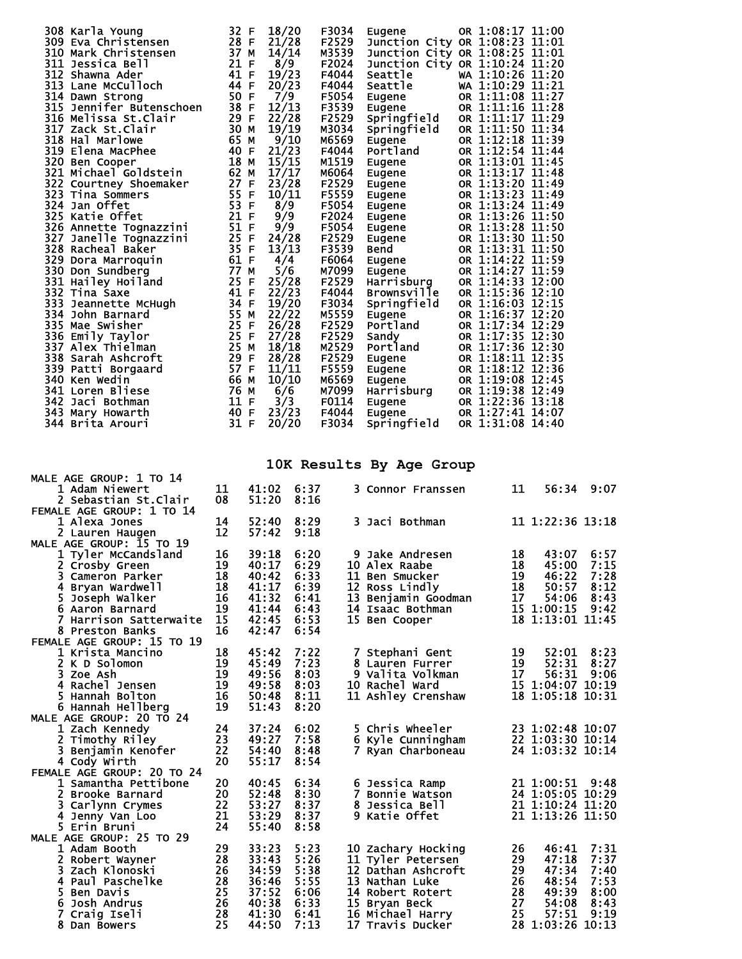| 308 Karla Young          | 32 F | 18/20      | F3034 | Eugene                         | OR 1:08:17 11:00 |  |
|--------------------------|------|------------|-------|--------------------------------|------------------|--|
| 309 Eva Christensen      | 28 F | 21/28      | F2529 | Junction City OR 1:08:23 11:01 |                  |  |
| 310 Mark Christensen     | 37 M | 14/14      | M3539 | Junction City OR 1:08:25 11:01 |                  |  |
| 311 Jessica Bell         | 21 F | 8/9        | F2024 | Junction City OR 1:10:24 11:20 |                  |  |
| 312 Shawna Ader          | 41 F | 19/23      | F4044 | Seattle                        | WA 1:10:26 11:20 |  |
| 313 Lane McCulloch       | 44 F | 20/23      | F4044 | Seattle                        | WA 1:10:29 11:21 |  |
| 314 Dawn Strong          | 50 F | 7/9        | F5054 | Eugene                         | OR 1:11:08 11:27 |  |
| 315 Jennifer Butenschoen | 38 F | 12/13      | F3539 | Eugene                         | OR 1:11:16 11:28 |  |
| 316 Melissa St.Clair     | 29 F | 22/28      | F2529 | Springfield                    | OR 1:11:17 11:29 |  |
| 317 Zack St.Clair        | 30 M | 19/19      | M3034 | Springfield                    | OR 1:11:50 11:34 |  |
| 318 Hal Marlowe          | 65 M | 9/10       | M6569 | Eugene                         | OR 1:12:18 11:39 |  |
| 319 Elena MacPhee        | 40 F | 21/23      | F4044 | Portland                       | OR 1:12:54 11:44 |  |
| 320 Ben Cooper           | 18 M | 15/15      | M1519 | Eugene                         | OR 1:13:01 11:45 |  |
| 321 Michael Goldstein    | 62 M | 17/17      | M6064 | Eugene                         | OR 1:13:17 11:48 |  |
| 322 Courtney Shoemaker   | 27 F | 23/28      | F2529 | Eugene                         | OR 1:13:20 11:49 |  |
| 323 Tina Sommers         | 55 F | 10/11      | F5559 | Eugene                         | OR 1:13:23 11:49 |  |
| 324 Jan Offet            | 53 F | 8/9        | F5054 | Eugene                         | OR 1:13:24 11:49 |  |
| 325 Katie Offet          | 21 F | 9/9        | F2024 | Eugene                         | OR 1:13:26 11:50 |  |
| 326 Annette Tognazzini   | 51 F | 9/9        | F5054 | Eugene                         | OR 1:13:28 11:50 |  |
| 327 Janelle Tognazzini   | 25 F | 24/28      | F2529 | Eugene                         | OR 1:13:30 11:50 |  |
| 328 Racheal Baƙer        | 35 F | 13/13      | F3539 | Bend                           | OR 1:13:31 11:50 |  |
| 329 Dora Marroquin       | 61 F | 4/4        | F6064 | Eugene                         | OR 1:14:22 11:59 |  |
| 330 Don Sundberg         | 77 M | 5/6        | M7099 | Eugene                         | OR 1:14:27 11:59 |  |
| 331 Hailey Hoiland       | 25 F | 25/28      | F2529 | Harrisburg                     | OR 1:14:33 12:00 |  |
| 332 Tina Saxe            | 41 F | 22/23      | F4044 | Brownsville                    | OR 1:15:36 12:10 |  |
| 333 Jeannette McHugh     | 34 F | 19/20      | F3034 | Springfield                    | OR 1:16:03 12:15 |  |
| 334 John Barnard         |      | 55 M 22/22 | M5559 | Eugene                         | OR 1:16:37 12:20 |  |
| 335 Mae Swisher          | 25 F | 26/28      | F2529 | Portland                       | OR 1:17:34 12:29 |  |
| 336 Emily Taylor         |      | 25 F 27/28 | F2529 | Sandy                          | OR 1:17:35 12:30 |  |
| 337 Alex Thielman        | 25 M | 18/18      | M2529 | Portland                       | OR 1:17:36 12:30 |  |
| 338 Sarah Ashcroft       | 29 F | 28/28      | F2529 | Eugene                         | OR 1:18:11 12:35 |  |
| 339 Patti Borgaard       | 57 F | 11/11      | F5559 | Eugene                         | OR 1:18:12 12:36 |  |
| 340 Ken Wedin            | 66 M | 10/10      | M6569 | Eugene                         | OR 1:19:08 12:45 |  |
| 341 Loren Bliese         | 76 M | 6/6        | M7099 | Harrisburg                     | OR 1:19:38 12:49 |  |
| 342 Jaci Bothman         | 11 F | 3/3        | F0114 | Eugene                         | OR 1:22:36 13:18 |  |
| 343 Mary Howarth         | 40 F | 23/23      | F4044 | Eugene                         | OR 1:27:41 14:07 |  |
| 344 Brita Arouri         | 31 F | 20/20      | F3034 | Springfield                    | OR 1:31:08 14:40 |  |

## **10K Results By Age Group**

| MALE AGE GROUP: 1 TO 14    |    |       |      |                                      |    |                  |      |
|----------------------------|----|-------|------|--------------------------------------|----|------------------|------|
| 1 Adam Niewert             | 11 | 41:02 | 6:37 | 3 Connor Franssen                    | 11 | 56:34 9:07       |      |
| 2 Sebastian St.Clair       | 08 | 51:20 | 8:16 |                                      |    |                  |      |
| FEMALE AGE GROUP: 1 TO 14  |    |       |      |                                      |    |                  |      |
| 1 Alexa Jones              | 14 | 52:40 | 8:29 | 3 Jaci Bothman                       |    | 11 1:22:36 13:18 |      |
| 2 Lauren Haugen            | 12 | 57:42 | 9:18 |                                      |    |                  |      |
| MALE AGE GROUP: 15 TO 19   |    |       |      |                                      |    |                  |      |
| 1 Tyler McCandsland        | 16 | 39:18 | 6:20 | 9 Jake Andresen                      | 18 | 43:07            | 6:57 |
| 2 Crosby Green             | 19 | 40:17 | 6:29 | 10 Alex Raabe                        | 18 | 45:00            | 7:15 |
| 3 Cameron Parker           | 18 | 40:42 | 6:33 | 11 Ben Smucker                       | 19 | 46:22            | 7:28 |
| 4 Bryan Wardwell           | 18 | 41:17 | 6:39 | 12 Ross Lindly                       | 18 | 50:57            | 8:12 |
| 5 Joseph Walker            | 16 | 41:32 | 6:41 | 13 Benjamin Goodman                  | 17 | 54:06            | 8:43 |
| 6 Aaron Barnard            | 19 | 41:44 | 6:43 | 14 Isaac Bothman                     |    | 15 1:00:15       | 9:42 |
| 7 Harrison Satterwaite     | 15 | 42:45 | 6:53 | 15 Ben Cooper                        |    | 18 1:13:01 11:45 |      |
| 8 Preston Banks            | 16 | 42:47 | 6:54 |                                      |    |                  |      |
| FEMALE AGE GROUP: 15 TO 19 |    |       |      |                                      |    |                  |      |
| 1 Krista Mancino           | 18 | 45:42 | 7:22 | 7 Stephani Gent                      | 19 | $52:01$ $8:23$   |      |
| 2 K D Solomon              | 19 | 45:49 | 7:23 | 8 Lauren Furrer                      | 19 | 52:31            | 8:27 |
| 3 Zoe Ash                  | 19 | 49:56 | 8:03 | 9 Valita Volkman                     | 17 | 56:31            | 9:06 |
| 4 Rachel Jensen            | 19 | 49:58 | 8:03 | 10 Rachel Ward                       |    | 15 1:04:07 10:19 |      |
| 5 Hannah Bolton            | 16 | 50:48 | 8:11 | 11 Ashley Crenshaw                   |    | 18 1:05:18 10:31 |      |
| 6 Hannah Hellberg          | 19 | 51:43 | 8:20 |                                      |    |                  |      |
| MALE AGE GROUP: 20 TO 24   |    |       |      |                                      |    |                  |      |
| 1 Zach Kennedy             | 24 | 37:24 | 6:02 | 5 Chris Wheeler                      |    | 23 1:02:48 10:07 |      |
| 2 Timothy Riley            | 23 | 49:27 | 7:58 | 6 Kyle Cunningham                    |    | 22 1:03:30 10:14 |      |
| 3 Benjamin Kenofer         | 22 | 54:40 | 8:48 | 7 Ryan Charboneau                    |    | 24 1:03:32 10:14 |      |
| 4 Cody Wirth               | 20 | 55:17 | 8:54 |                                      |    |                  |      |
| FEMALE AGE GROUP: 20 TO 24 |    |       |      |                                      |    |                  |      |
| 1 Samantha Pettibone       | 20 | 40:45 | 6:34 | 6 Jessica Ramp                       |    | 21 1:00:51 9:48  |      |
| 2 Brooke Barnard           | 20 | 52:48 | 8:30 | 7 Bonnie Watson                      |    | 24 1:05:05 10:29 |      |
| 3 Carlynn Crymes           | 22 | 53:27 | 8:37 | 8 Jessica Bell                       |    | 21 1:10:24 11:20 |      |
| 4 Jenny Van Loo            | 21 | 53:29 | 8:37 | 9 Katie Offet                        |    | 21 1:13:26 11:50 |      |
| 5 Erin Bruni               | 24 | 55:40 | 8:58 |                                      |    |                  |      |
| MALE AGE GROUP: 25 TO 29   |    |       |      |                                      |    |                  |      |
| 1 Adam Booth               | 29 | 33:23 | 5:23 | 10 Zachary Hocking                   | 26 | 46:41            | 7:31 |
| 2 Robert Wayner            | 28 | 33:43 | 5:26 | 11 Tyler Petersen                    | 29 | 47:18            | 7:37 |
| 3 Zach Klonoski            | 26 | 34:59 | 5:38 | 12 Dathan Ashcroft                   | 29 | 47:34            | 7:40 |
| 4 Paul Paschelke           | 28 | 36:46 | 5:55 | 13 Nathan Luke                       | 26 | 48:54            | 7:53 |
| 5 Ben Davis                | 25 | 37:52 | 6:06 | 14 Robert Rotert                     | 28 | 49:39            | 8:00 |
| 6 Josh Andrus              | 26 | 40:38 | 6:33 | 15 Bryan Beck                        | 27 | 54:08            | 8:43 |
| 7 Craig Iseli              | 28 | 41:30 | 6:41 |                                      | 25 | 57:51            | 9:19 |
|                            | 25 | 44:50 | 7:13 | 16 Michael Harry<br>17 Travis Ducker |    | 28 1:03:26 10:13 |      |
| 8 Dan Bowers               |    |       |      |                                      |    |                  |      |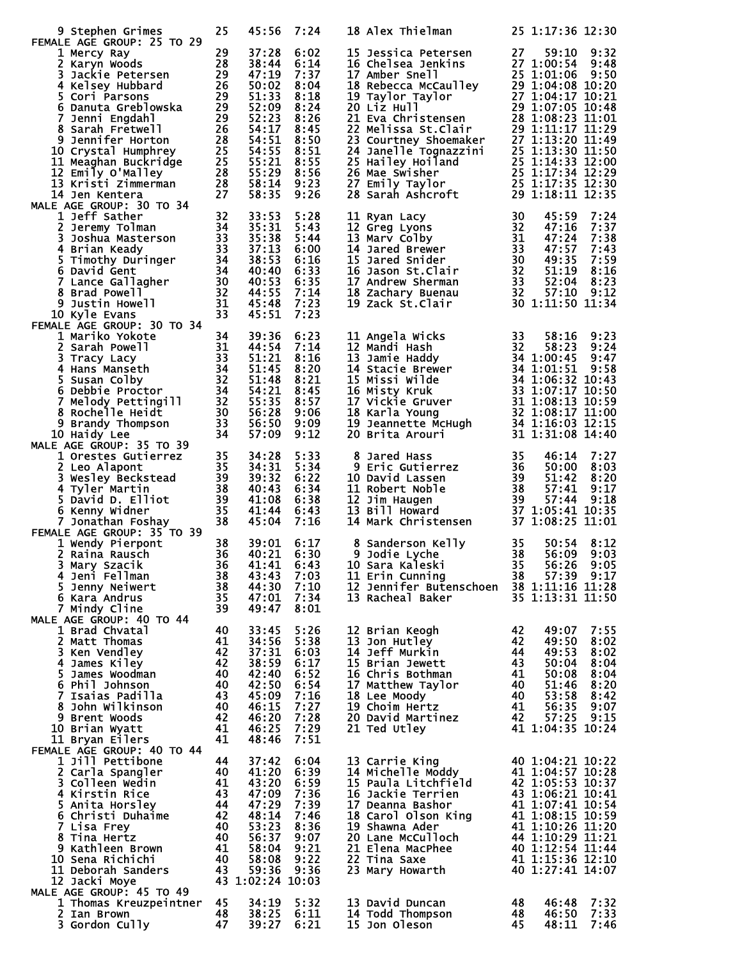|   | 9 Stephen Grimes                                                                                                                                                                                                                                                                     | 25       | 45:56                                        | 7:24         | 18 Alex Thielman                                                                                                                                                                                                                                         |           | 25 1:17:36 12:30                     |              |
|---|--------------------------------------------------------------------------------------------------------------------------------------------------------------------------------------------------------------------------------------------------------------------------------------|----------|----------------------------------------------|--------------|----------------------------------------------------------------------------------------------------------------------------------------------------------------------------------------------------------------------------------------------------------|-----------|--------------------------------------|--------------|
|   | FEMALE AGE GROUP: 25 TO 29                                                                                                                                                                                                                                                           |          | 37:28                                        | 6:02         | 15 Jessica Petersen                                                                                                                                                                                                                                      | 27        | 59:10 9:32                           |              |
|   | 1 Mercy Ray<br>1 Mercy Ray<br>2 Karyn Woods 28<br>3 Jackie Petersen 29<br>4 Kelsey Hubbard 26<br>5 Cori Parsons 29<br>6 Danuta Greblowska 29<br>7 Banuta Greblowska 29                                                                                                               |          | 38:44                                        | 6:14         | 16 Chelsea Jenkins 27 1:00:54<br>17 Amber Snell 25 1:01:06                                                                                                                                                                                               |           |                                      | 9:48         |
|   |                                                                                                                                                                                                                                                                                      |          | 47:19                                        | 7:37         |                                                                                                                                                                                                                                                          |           |                                      |              |
|   |                                                                                                                                                                                                                                                                                      |          | 50:02<br>51:33                               | 8:04         |                                                                                                                                                                                                                                                          |           |                                      |              |
|   |                                                                                                                                                                                                                                                                                      |          | 52:09                                        | 8:18<br>8:24 | 10.18 Amber Snell<br>17 Amber Snell<br>18 Rebecca McCaulley<br>18 Rebecca McCaulley<br>29 1:04:08 10:20<br>19 Taylor Taylor<br>27 1:04:17 10:21<br>20 Liz Hull<br>29 1:07:05 10:48<br>21 Eva Christensen<br>28 1:08:23 11:01<br>22 Melissa St.Clair<br>  |           |                                      |              |
|   |                                                                                                                                                                                                                                                                                      |          | 52:23                                        | 8:26         |                                                                                                                                                                                                                                                          |           |                                      |              |
|   | $\frac{\overline{26}}{28}$<br>8 Sarah Fretwell                                                                                                                                                                                                                                       |          | 54:17                                        | 8:45         |                                                                                                                                                                                                                                                          |           |                                      |              |
|   | 9 Jennifer Horton                                                                                                                                                                                                                                                                    |          | 54:51                                        | 8:50         |                                                                                                                                                                                                                                                          |           |                                      |              |
|   | 10 Crystal Humphrey<br>$\frac{25}{25}$<br>$\frac{25}{28}$<br>$\frac{28}{27}$<br>11 Meaghan Buckridge                                                                                                                                                                                 |          | $\frac{25}{25}$ 54: 55<br>$\frac{55:21}{29}$ | 8:51<br>8:55 |                                                                                                                                                                                                                                                          |           |                                      |              |
|   | 12 Emily O'Malley                                                                                                                                                                                                                                                                    |          | 55:29 8:56                                   |              |                                                                                                                                                                                                                                                          |           |                                      |              |
|   | 13 Kristi Zimmerman                                                                                                                                                                                                                                                                  |          | 58:14 9:23                                   |              |                                                                                                                                                                                                                                                          |           |                                      |              |
|   | 14 Jen Kentera                                                                                                                                                                                                                                                                       | 27       | 58:35                                        | 9:26         | 24 Janelle Tognazzini<br>25 1:13:30 11:50<br>25 Hailey Hoiland<br>25 1:14:33 12:00<br>26 Mae Swisher<br>25 1:17:34 12:29<br>27 Emily Taylor<br>28 Sarah Ashcroft<br>29 1:18:11 12:35                                                                     |           |                                      |              |
|   | MALE AGE GROUP: 30 TO 34<br>1 Jeff Sather<br>2 Jeremy Tolman<br>3 Joshua Masterson<br>3 Strian Keady<br>5 Timothy Duringer<br>6 David Gent<br>7 Lance Gallagher<br>8 Brad Powell<br>9 Justin Howell<br>9 Justin Howell<br>10 Kyle Evans<br>15 Timothy<br>10 Strian 32<br>10 Strian 3 |          |                                              |              |                                                                                                                                                                                                                                                          |           |                                      |              |
|   |                                                                                                                                                                                                                                                                                      |          | 33:53<br>35:31                               | 5:28<br>5:43 | 11 Ryan Lacy<br>12 Greg Lyons<br>13 Marv Colby<br>13 Marv Colby<br>14 Jared Brewer<br>15 Jared Snider<br>16 Jason St.Clair<br>17 Andrew Sherman<br>18 Zachary Buenau<br>19 Zack St.Clair<br>19 20<br>19 Zack St.Clair<br>19 30<br>19 20                  |           | 45:59<br>47:16                       | 7:24<br>7:37 |
|   |                                                                                                                                                                                                                                                                                      |          | 35:38                                        | 5:44         |                                                                                                                                                                                                                                                          |           | 47:24                                | 7:38         |
|   |                                                                                                                                                                                                                                                                                      |          | 37:13                                        | 6:00         |                                                                                                                                                                                                                                                          |           | 47:57                                | 7:43         |
|   |                                                                                                                                                                                                                                                                                      |          | 38:53                                        | 6:16         |                                                                                                                                                                                                                                                          |           | 49:35<br>49:35<br>51:19              | 7:59         |
|   |                                                                                                                                                                                                                                                                                      |          | 40:40<br>40:53                               | 6:33<br>6:35 |                                                                                                                                                                                                                                                          |           | 52:04                                | 8:16<br>8:23 |
|   |                                                                                                                                                                                                                                                                                      |          | 44:55                                        | 7:14         |                                                                                                                                                                                                                                                          |           | 57:10 9:12                           |              |
|   |                                                                                                                                                                                                                                                                                      |          | 45:48                                        | 7:23         |                                                                                                                                                                                                                                                          |           | 30 1:11:50 11:34                     |              |
|   |                                                                                                                                                                                                                                                                                      |          | 45:51                                        | 7:23         |                                                                                                                                                                                                                                                          |           |                                      |              |
|   | 10 Kyle Evans<br>1 Mariko Yokote<br>2 Sarah Powell<br>3 1 44:54<br>2 Sarah Powell<br>3 1 44:54<br>3 Tracy Lacy<br>4 Hans Manseth<br>5 Susan Colby<br>6 Debbie Proctor<br>7 Melody Pettingill<br>32 51:48<br>7 Melody Pettingill<br>32 55:35<br>8 Rochelle                            |          |                                              |              |                                                                                                                                                                                                                                                          |           |                                      |              |
|   |                                                                                                                                                                                                                                                                                      |          |                                              | 6:23<br>7:14 | 11 Angela Wicks                                                                                                                                                                                                                                          | 33        | 58:16                                | 9:23         |
|   |                                                                                                                                                                                                                                                                                      |          |                                              | 8:16         | 11 Angela wicks<br>12 Mandi Hash<br>13 Jamie Haddy<br>14 Stacie Brewer<br>14 Stacie Brewer<br>15 Missi Wilde<br>16 Misty Kruk<br>16 Misty Kruk<br>16 Misty Kruk<br>16 Misty Kruk<br>16 Misty Kruk<br>16 Misty Kruk<br>17 Vickie Gruver<br>18 Karla Young |           |                                      |              |
|   |                                                                                                                                                                                                                                                                                      |          |                                              | 8:20         |                                                                                                                                                                                                                                                          |           |                                      |              |
|   |                                                                                                                                                                                                                                                                                      |          |                                              | 8:21         |                                                                                                                                                                                                                                                          |           |                                      |              |
|   |                                                                                                                                                                                                                                                                                      |          |                                              | 8:45         |                                                                                                                                                                                                                                                          |           |                                      |              |
|   |                                                                                                                                                                                                                                                                                      |          |                                              | 8:57         |                                                                                                                                                                                                                                                          |           |                                      |              |
|   |                                                                                                                                                                                                                                                                                      |          | 56:28                                        | 9:06<br>9:09 |                                                                                                                                                                                                                                                          |           |                                      |              |
|   | 10 Haidy Lee                                                                                                                                                                                                                                                                         | 34       | 57:09                                        | 9:12         |                                                                                                                                                                                                                                                          |           |                                      |              |
|   | MALE AGE GROUP: 35 TO 39                                                                                                                                                                                                                                                             |          |                                              |              |                                                                                                                                                                                                                                                          |           |                                      |              |
|   | 1 Orestes Gutierrez                                                                                                                                                                                                                                                                  | 35       | 34:28                                        | 5:33         |                                                                                                                                                                                                                                                          |           |                                      |              |
|   | 2 Leo Alapont                                                                                                                                                                                                                                                                        | 35       | 34:31                                        | 5:34         |                                                                                                                                                                                                                                                          |           |                                      |              |
|   | 3 Wesley Beckstead<br>4 Tyler Martin                                                                                                                                                                                                                                                 |          | 39:32<br>40:43 6:34                          | 6:22         | 10 David Lassen<br>11 Robert Noble                                                                                                                                                                                                                       |           |                                      |              |
|   | $\begin{array}{r} 39 \\ 38 \\ 38 \\ 39 \\ 35 \end{array}$<br>5 David D. Elliot                                                                                                                                                                                                       |          | 41:08 6:38                                   |              | 8 Jared Hass<br>9 Eric Gutierrez<br>10 David Lassen<br>11 Robert Noble<br>12 Jim Haugen<br>13 Bill Howard<br>13 Bill Howard<br>13 Bill Howard<br>13 27 1:08:25 11:01<br>13 27 1:08:25 11:01<br>12 Jim Haugen                                             |           |                                      |              |
|   | 6 Kenny Widner                                                                                                                                                                                                                                                                       |          | 41:44 6:43                                   |              | 13 Bill Howard                                                                                                                                                                                                                                           |           |                                      |              |
|   | 7 Jonathan Foshay                                                                                                                                                                                                                                                                    | 38       | 45:04                                        | 7:16         | 14 Mark Christensen 37 1:08:25 11:01                                                                                                                                                                                                                     |           |                                      |              |
|   | FEMALE AGE GROUP: 35 TO 39                                                                                                                                                                                                                                                           |          |                                              |              |                                                                                                                                                                                                                                                          |           |                                      |              |
|   | 1 Wendy Pierpont<br>2 Raina Rausch                                                                                                                                                                                                                                                   | 38<br>36 | 39:01 6:17<br>40:21 6:30                     |              | 8 Sanderson Kelly<br>9 Jodie Lyche<br>0 Sara Kaleski<br>9 Jodie Lyche                                                                                                                                                                                    | 35<br>38  | 50:54<br>56:09                       | 8:12<br>9:03 |
| 3 | Mary Szacik                                                                                                                                                                                                                                                                          | 36       | 41:41                                        | 6:43         | 10 Sara Kaleski                                                                                                                                                                                                                                          | 35        | 56:26                                | 9:05         |
|   | 4 Jeni Fellman                                                                                                                                                                                                                                                                       | 38       | 43:43                                        | 7:03         | 11 Erin Cunning                                                                                                                                                                                                                                          | 38        | 57:39 9:17                           |              |
|   | 5 Jenny Neiwert                                                                                                                                                                                                                                                                      | 38       | 44:30                                        | 7:10         | 12 Jennifer Butenschoen 38 1:11:16 11:28                                                                                                                                                                                                                 |           |                                      |              |
|   |                                                                                                                                                                                                                                                                                      |          |                                              |              |                                                                                                                                                                                                                                                          |           |                                      |              |
|   | 6 Kara Andrus                                                                                                                                                                                                                                                                        | 35       | 47:01                                        | 7:34         | 13 Racheal Baker                                                                                                                                                                                                                                         |           | 35 1:13:31 11:50                     |              |
|   | 7 Mindy Cline                                                                                                                                                                                                                                                                        | 39       | 49:47                                        | 8:01         |                                                                                                                                                                                                                                                          |           |                                      |              |
|   | MALE AGE GROUP: 40 TO 44                                                                                                                                                                                                                                                             |          |                                              |              |                                                                                                                                                                                                                                                          |           |                                      |              |
|   | 1 Brad Chvatal<br>2 Matt Thomas                                                                                                                                                                                                                                                      | 40<br>41 | 33:45<br>34:56                               | 5:26<br>5:38 | 12 Brian Keogh<br>13 Jon Hutley                                                                                                                                                                                                                          | 42<br>42  | 49:07<br>49:50                       | 7:55<br>8:02 |
|   | 3 Ken Vendley                                                                                                                                                                                                                                                                        | 42       | 37:31                                        | 6:03         | 14 Jeff Murkin                                                                                                                                                                                                                                           | 44        | 49:53                                | 8:02         |
|   | 4 James Kiley                                                                                                                                                                                                                                                                        | 42       | 38:59                                        | 6:17         | 15 Brian Jewett                                                                                                                                                                                                                                          | 43        | 50:04                                | 8:04         |
|   | 5 James Woodman                                                                                                                                                                                                                                                                      | 40       | 42:40                                        | 6:52         | 16 Chris Bothman                                                                                                                                                                                                                                         | 41        | 50:08                                | 8:04         |
|   | 6 Phil Johnson<br>7 Isaias Padilla                                                                                                                                                                                                                                                   | 40<br>43 | 42:50<br>45:09                               | 6:54<br>7:16 | 17 Matthew Taylor                                                                                                                                                                                                                                        | 40<br>-40 | 51:46<br>53:58                       | 8:20<br>8:42 |
|   | 8 John Wilkinson                                                                                                                                                                                                                                                                     | 40       | 46:15                                        | 7:27         | 18 Lee Moody<br>19 Choim Hertz                                                                                                                                                                                                                           | -41       | 56:35 9:07                           |              |
|   | 9 Brent Woods                                                                                                                                                                                                                                                                        | 42       | 46:20                                        | 7:28         | 20 David Martinez                                                                                                                                                                                                                                        | -42       | 57:25                                | 9:15         |
|   | 10 Brian Wyatt                                                                                                                                                                                                                                                                       | 41       | 46:25                                        | 7:29         | 21 Ted Utley                                                                                                                                                                                                                                             |           | 41 1:04:35 10:24                     |              |
|   | 11 Bryan Eilers                                                                                                                                                                                                                                                                      | 41       | 48:46                                        | 7:51         |                                                                                                                                                                                                                                                          |           |                                      |              |
|   | FEMALE AGE GROUP: 40 TO 44<br>1 Jill Pettibone                                                                                                                                                                                                                                       | 44       | 37:42                                        | 6:04         | 13 Carrie King                                                                                                                                                                                                                                           |           | 40 1:04:21 10:22                     |              |
|   | 2 Carla Spangler                                                                                                                                                                                                                                                                     | 40       | 41:20                                        | 6:39         | 14 Michelle Moddy                                                                                                                                                                                                                                        |           | 41 1:04:57 10:28                     |              |
|   | 3 Colleen Wedin                                                                                                                                                                                                                                                                      | 41       | 43:20                                        | 6:59         | 15 Paula Litchfield                                                                                                                                                                                                                                      |           | 42 1:05:53 10:37                     |              |
|   | 4 Kirstin Rice                                                                                                                                                                                                                                                                       | 43       | 47:09                                        | 7:36         | 16 Jackie Terrien                                                                                                                                                                                                                                        |           | 43 1:06:21 10:41                     |              |
|   | 5 Anita Horsley                                                                                                                                                                                                                                                                      | 44<br>42 | 47:29                                        | 7:39         | 17 Deanna Bashor                                                                                                                                                                                                                                         |           | 41 1:07:41 10:54                     |              |
|   | 6 Christi Duhaime<br>7 Lisa Frey                                                                                                                                                                                                                                                     | 40       | 48:14<br>53:23                               | 7:46<br>8:36 | 18 Carol Olson King<br>19 Shawna Ader                                                                                                                                                                                                                    |           | 41 1:08:15 10:59<br>41 1:10:26 11:20 |              |
|   | 8 Tina Hertz                                                                                                                                                                                                                                                                         | 40       | 56:37                                        | 9:07         | 20 Lane McCulloch                                                                                                                                                                                                                                        |           | 44 1:10:29 11:21                     |              |
|   | 9 Kathleen Brown                                                                                                                                                                                                                                                                     | 41       | 58:04                                        | 9:21         | 21 Elena MacPhee                                                                                                                                                                                                                                         |           | 40 1:12:54 11:44                     |              |
|   | 10 Sena Richichi                                                                                                                                                                                                                                                                     | 40       | 58:08                                        | 9:22         | 22 Tina Saxe                                                                                                                                                                                                                                             |           | 41 1:15:36 12:10                     |              |
|   | 11 Deborah Sanders                                                                                                                                                                                                                                                                   | 43       | 59:36<br>43 1:02:24 10:03                    | 9:36         | 23 Mary Howarth                                                                                                                                                                                                                                          |           | 40 1:27:41 14:07                     |              |
|   | 12 Jacki Moye<br>MALE AGE GROUP: 45 TO 49                                                                                                                                                                                                                                            |          |                                              |              |                                                                                                                                                                                                                                                          |           |                                      |              |
|   | 1 Thomas Kreuzpeintner                                                                                                                                                                                                                                                               | 45       | 34:19                                        | 5:32         | 13 David Duncan                                                                                                                                                                                                                                          | 48        | 46:48                                | 7:32         |
|   | 2 Ian Brown<br>3 Gordon Cully                                                                                                                                                                                                                                                        | 48<br>47 | 38:25<br>39:27                               | 6:11<br>6:21 | 14 Todd Thompson<br>15 Jon Oleson                                                                                                                                                                                                                        | 48<br>45  | 46:50<br>48:11                       | 7:33<br>7:46 |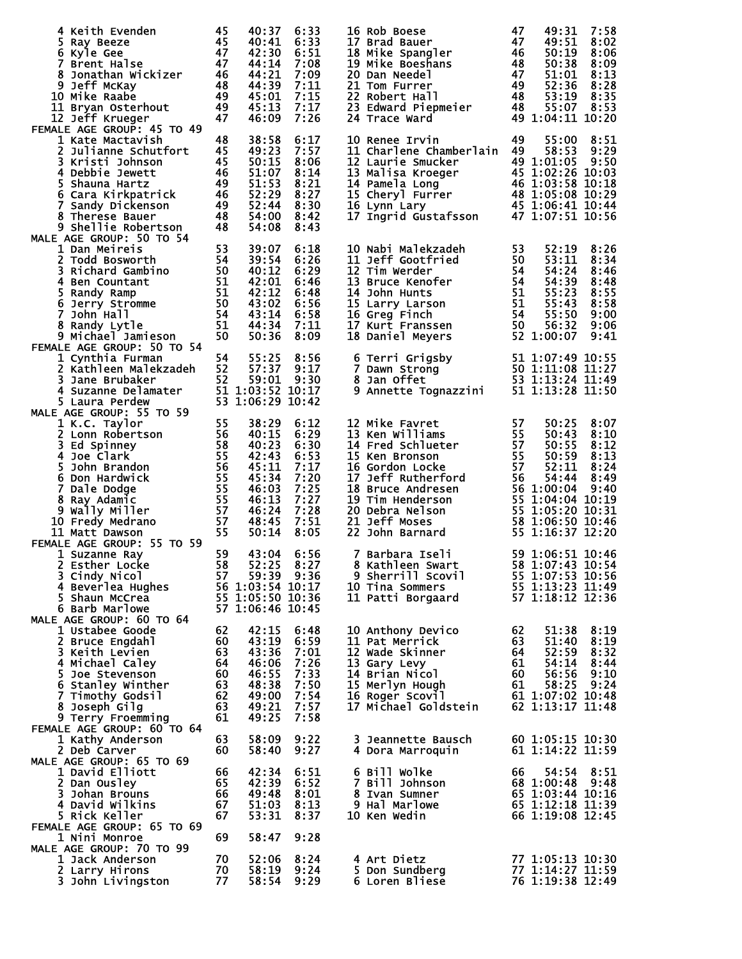|                                                                                                                                                                                                                                                                                      |          | 40:37               | 6:33               | 16 Rob Boese<br>17 Brad Bauer<br>18 Mike Spangler<br>18 Mike Spangler<br>19 Mike Boeshans<br>20 Dan Needel<br>21 Tom Furrer<br>22 Robert Hall<br>23 Edward Piepmeier<br>23 Howard Piepmeier<br>24 S3:19 8:35<br>24 Trace Ward<br>24 S5:07 8:53<br>24 Tra |    |                                      |              |
|--------------------------------------------------------------------------------------------------------------------------------------------------------------------------------------------------------------------------------------------------------------------------------------|----------|---------------------|--------------------|----------------------------------------------------------------------------------------------------------------------------------------------------------------------------------------------------------------------------------------------------------|----|--------------------------------------|--------------|
|                                                                                                                                                                                                                                                                                      |          | 40:41               | 6:33               |                                                                                                                                                                                                                                                          |    |                                      |              |
|                                                                                                                                                                                                                                                                                      |          | 42:30<br>44:14 7:08 | 6:51               |                                                                                                                                                                                                                                                          |    |                                      |              |
|                                                                                                                                                                                                                                                                                      |          | 44:21               | 7:09               |                                                                                                                                                                                                                                                          |    |                                      |              |
|                                                                                                                                                                                                                                                                                      |          | 44:39               | 7:11               |                                                                                                                                                                                                                                                          |    |                                      |              |
| 10 Mike Raabe                                                                                                                                                                                                                                                                        |          | 45:01               | 7:15               |                                                                                                                                                                                                                                                          |    |                                      |              |
| 11 Bryan Osterhout                                                                                                                                                                                                                                                                   |          | 45:13               | 7:17               |                                                                                                                                                                                                                                                          |    |                                      |              |
| 12 Jeff Krueger                                                                                                                                                                                                                                                                      |          | 46:09               | 7:26               |                                                                                                                                                                                                                                                          |    |                                      |              |
| FEMALE AGE GROUP: 45 TO 49                                                                                                                                                                                                                                                           | 48       | 38:58               | 6:17               |                                                                                                                                                                                                                                                          | 49 | 55:00                                | 8:51         |
| 1 Kate Mactavish<br>2 Julianne Schutfort                                                                                                                                                                                                                                             | 45       | 49:23               | 7:57               | 10 Renee Irvin<br>11 Charlene Chamberlain 49                                                                                                                                                                                                             |    | 58:53                                | 9:29         |
| 2 Jurialine Schuttor<br>3 Kristi Johnson<br>4 Debbie Jewett<br>5 Shauna Hartz<br>5 Gara Kirkpatrick<br>6 Cara Kirkpatrick<br>7 Sandy Dickenson<br>8 Therese Bauer<br>9 Shellie Robertson<br>48<br>5 AGE GROUP: 50 TO 54                                                              |          | 50:15               | 8:06               | 12 Laurie Smucker<br>13 Malisa Kroeger<br>13 Malisa Kroeger<br>14 Pamela Long<br>14 Pamela Long<br>15 Cheryl Furrer<br>16 Lynn Lary<br>16 Lynn Lary<br>16 Lynn Lary<br>16 Lynn Lary<br>16 Section 10:44<br>17 Ingrid Gustafsson<br>17 1:07:51 10:56      |    |                                      |              |
|                                                                                                                                                                                                                                                                                      |          | 51:07               | 8:14               |                                                                                                                                                                                                                                                          |    |                                      |              |
|                                                                                                                                                                                                                                                                                      |          | 51:53               | 8:21               |                                                                                                                                                                                                                                                          |    |                                      |              |
|                                                                                                                                                                                                                                                                                      |          | 52:29               | 8:27               |                                                                                                                                                                                                                                                          |    |                                      |              |
|                                                                                                                                                                                                                                                                                      |          | 52:44 8:30          |                    |                                                                                                                                                                                                                                                          |    |                                      |              |
|                                                                                                                                                                                                                                                                                      |          | 54:00 8:42          |                    |                                                                                                                                                                                                                                                          |    |                                      |              |
| MALE AGE GROUP: 50 TO 54<br>48<br>2 Todd Bosworth<br>3 Richard Gambino<br>4 Ben Countant<br>5 Randy Ramp<br>5 To John Hall<br>6 Jerry Stromme<br>5 Randy Lytle<br>7 John Hall<br>8 Randy Lytle<br>9 Michael Jamieson<br>1 Backgroup: 50 To 54<br>1 Cynthia Furry 2<br>1 Cynthia Furr |          | 54:08               | 8:43               |                                                                                                                                                                                                                                                          |    |                                      |              |
|                                                                                                                                                                                                                                                                                      |          | 39:07               | 6:18               |                                                                                                                                                                                                                                                          |    |                                      | 8:26         |
|                                                                                                                                                                                                                                                                                      |          | 39:54               | 6:26               |                                                                                                                                                                                                                                                          |    |                                      | 8:34         |
|                                                                                                                                                                                                                                                                                      |          | 40:12               | 6:29               |                                                                                                                                                                                                                                                          |    |                                      | 8:46         |
|                                                                                                                                                                                                                                                                                      |          | 42:01               | 6:46               |                                                                                                                                                                                                                                                          |    | 54:39                                | 8:48         |
|                                                                                                                                                                                                                                                                                      |          | 42:12               | 6:48               |                                                                                                                                                                                                                                                          |    |                                      | 8:55         |
|                                                                                                                                                                                                                                                                                      |          | 43:02               | 6:56               |                                                                                                                                                                                                                                                          |    | 55:43                                | 8:58         |
|                                                                                                                                                                                                                                                                                      |          | 44:34 7:11          | 43:14 6:58         |                                                                                                                                                                                                                                                          |    |                                      | 9:00         |
|                                                                                                                                                                                                                                                                                      |          | 50:36               | 8:09               |                                                                                                                                                                                                                                                          |    |                                      | 9:06<br>9:41 |
| FEMALE AGE GROUP: 50 TO 54                                                                                                                                                                                                                                                           |          |                     |                    | 10 Nabi Malekzadeh 53 52:19<br>11 Jeff Gootfried 50 53:11<br>12 Tim Werder 54 54:24<br>13 Bruce Kenofer 54 54:39<br>14 John Hunts 51 55:23<br>15 Larry Larson 51 55:43<br>16 Greg Finch 54 55:50<br>17 Kurt Franssen 50 56:32<br>18 Daniel Mey           |    |                                      |              |
| - בי סו של S4 ב- 1 Cynthia Furman<br>1 Cynthia Furman 54<br>2 Kathleen Malekzadeh 52<br>2 - ב- Prubaker 52                                                                                                                                                                           |          | 55:25               | 8:56               | 6 Terri Grigsby<br>7 Dawn Strong<br>8 Jan Offet<br>9 Annette Tognazzini<br>51 1:13:24 11:49<br>9 Annette Tognazzini<br>51 1:13:28 11:50                                                                                                                  |    |                                      |              |
|                                                                                                                                                                                                                                                                                      |          | 57:37               | 9:17               |                                                                                                                                                                                                                                                          |    |                                      |              |
|                                                                                                                                                                                                                                                                                      |          | 59:01               | 9:30               |                                                                                                                                                                                                                                                          |    |                                      |              |
| 4 Suzanne Delamater 51 1:03:52 10:17                                                                                                                                                                                                                                                 |          |                     |                    |                                                                                                                                                                                                                                                          |    |                                      |              |
|                                                                                                                                                                                                                                                                                      |          | 53 1:06:29 10:42    |                    |                                                                                                                                                                                                                                                          |    |                                      |              |
| 4 Suzanne Detainater<br>5 Laura Perdew<br>E AGE GROUP: 55 TO 59<br>1 K.C. Taylor<br>2 Lonn Robertson<br>3 Ed Spinney<br>4 Joe Clark<br>5 John Brandon<br>6 Don Hardwick<br>6 Don Hardwick<br>7 Dale Dodge<br>8 Ray Adamic<br>9 Wally Miller<br>9 Wally M<br>MALE AGE GROUP: 55 TO 59 |          |                     |                    |                                                                                                                                                                                                                                                          |    |                                      |              |
|                                                                                                                                                                                                                                                                                      |          | 38:29<br>40:15      | 6:12<br>6:29       |                                                                                                                                                                                                                                                          |    |                                      |              |
|                                                                                                                                                                                                                                                                                      |          | 40:23               | 6:30               |                                                                                                                                                                                                                                                          |    |                                      |              |
|                                                                                                                                                                                                                                                                                      |          | 42:43               | 6:53               |                                                                                                                                                                                                                                                          |    |                                      |              |
|                                                                                                                                                                                                                                                                                      |          | 45:11               | 7:17               |                                                                                                                                                                                                                                                          |    |                                      |              |
|                                                                                                                                                                                                                                                                                      |          |                     | 45:34 7:20         |                                                                                                                                                                                                                                                          |    |                                      |              |
|                                                                                                                                                                                                                                                                                      |          | 46:03               | 7:25               |                                                                                                                                                                                                                                                          |    |                                      |              |
|                                                                                                                                                                                                                                                                                      |          |                     | 46:13 7:27         |                                                                                                                                                                                                                                                          |    |                                      |              |
|                                                                                                                                                                                                                                                                                      |          |                     | 46:24 7:28<br>7:51 |                                                                                                                                                                                                                                                          |    |                                      |              |
| 10 Fredy Medrano<br>11 Matt Dawson                                                                                                                                                                                                                                                   |          | 48:45<br>50:14      | 8:05               | 12 Mike Favret<br>13 Ken Williams<br>14 Fred Schlueter<br>14 Fred Schlueter<br>57 50:55 8:12<br>15 Ken Bronson<br>55 50:55 8:12<br>15 Ken Bronson<br>55 50:59 8:13<br>16 Gordon Locke<br>57 52:11 8:24<br>17 Jeff Rutherford<br>56 54:44 8:49<br>18 Bruc |    |                                      |              |
| FEMALE AGE GROUP: 55 TO 59                                                                                                                                                                                                                                                           |          |                     |                    |                                                                                                                                                                                                                                                          |    |                                      |              |
| 1 Suzanne Ray                                                                                                                                                                                                                                                                        | 59       | 43:04               | 6:56               | 7 Barbara Iseli 59 1:06:51 10:46<br>8 Kathleen Swart 58 1:07:43 10:54                                                                                                                                                                                    |    |                                      |              |
| 2 Esther Locke                                                                                                                                                                                                                                                                       | 58       |                     | 52:25 8:27         | 8 Kathleen Swart 58 1:07:43 10:54                                                                                                                                                                                                                        |    |                                      |              |
| 3 Cindy Nicol                                                                                                                                                                                                                                                                        | 57       |                     | 59:39 9:36         | 9 Sherrill Scovil                                                                                                                                                                                                                                        |    | 55 1:07:53 10:56                     |              |
| 4 Beverlea Hughes                                                                                                                                                                                                                                                                    |          | 56 1:03:54 10:17    |                    | 10 Tina Sommers                                                                                                                                                                                                                                          |    | 55 1:13:23 11:49                     |              |
| 5 Shaun McCrea                                                                                                                                                                                                                                                                       |          | 55 1:05:50 10:36    |                    | 11 Patti Borgaard                                                                                                                                                                                                                                        |    | 57 1:18:12 12:36                     |              |
| 6 Barb Marlowe<br>MALE AGE GROUP: 60 TO 64                                                                                                                                                                                                                                           |          | 57 1:06:46 10:45    |                    |                                                                                                                                                                                                                                                          |    |                                      |              |
| 1 Ustabee Goode                                                                                                                                                                                                                                                                      | 62       | 42:15               | 6:48               | 10 Anthony Devico                                                                                                                                                                                                                                        | 62 | 51:38                                | 8:19         |
| 2 Bruce Engdahl                                                                                                                                                                                                                                                                      | 60       | 43:19               | 6:59               | 11 Pat Merrick                                                                                                                                                                                                                                           | 63 | 51:40                                | 8:19         |
| 3 Keith Levien                                                                                                                                                                                                                                                                       | 63       | 43:36               | 7:01               | 12 Wade Skinner                                                                                                                                                                                                                                          | 64 | 52:59                                | 8:32         |
| 4 Michael Caley                                                                                                                                                                                                                                                                      | 64       | 46:06               | 7:26               | 13 Gary Levy                                                                                                                                                                                                                                             | 61 | 54:14                                | 8:44         |
| 5 Joe Stevenson                                                                                                                                                                                                                                                                      | 60       | 46:55               | 7:33               | 14 Brian Nicol                                                                                                                                                                                                                                           | 60 | 56:56                                | 9:10         |
| 6 Stanley Winther                                                                                                                                                                                                                                                                    | 63       | 48:38               | 7:50               | 15 Merlyn Hough                                                                                                                                                                                                                                          | 61 | 58:25                                | 9:24         |
| 7 Timothy Godsil                                                                                                                                                                                                                                                                     | 62       | 49:00<br>49:21      | 7:54               | 16 Roger Scovil                                                                                                                                                                                                                                          |    | 61 1:07:02 10:48<br>62 1:13:17 11:48 |              |
| 8 Joseph Gilg<br>9 Terry Froemming                                                                                                                                                                                                                                                   | 63<br>61 | 49:25               | 7:57<br>7:58       | 17 Michael Goldstein                                                                                                                                                                                                                                     |    |                                      |              |
| FEMALE AGE GROUP: 60 TO 64                                                                                                                                                                                                                                                           |          |                     |                    |                                                                                                                                                                                                                                                          |    |                                      |              |
| 1 Kathy Anderson                                                                                                                                                                                                                                                                     | 63       | 58:09               | 9:22               | 3 Jeannette Bausch                                                                                                                                                                                                                                       |    | 60 1:05:15 10:30                     |              |
| 2 Deb Carver                                                                                                                                                                                                                                                                         | 60       | 58:40               | 9:27               | 4 Dora Marroquin                                                                                                                                                                                                                                         |    | 61 1:14:22 11:59                     |              |
| MALE AGE GROUP: 65 TO 69                                                                                                                                                                                                                                                             |          |                     |                    |                                                                                                                                                                                                                                                          |    |                                      |              |
| 1 David Elliott                                                                                                                                                                                                                                                                      | 66       | 42:34               | 6:51               | 6 Bill Wolke                                                                                                                                                                                                                                             | 66 | 54:54                                | 8:51         |
| 2 Dan Ousley                                                                                                                                                                                                                                                                         | 65       | 42:39               | 6:52               | 7 Bill Johnson                                                                                                                                                                                                                                           |    | 68 1:00:48                           | 9:48         |
| 3 Johan Brouns<br>4 David Wilkins                                                                                                                                                                                                                                                    | 66<br>67 | 49:48<br>51:03      | 8:01<br>8:13       | 8 Ivan Sumner<br>9 Hal Marlowe                                                                                                                                                                                                                           |    | 65 1:03:44 10:16<br>65 1:12:18 11:39 |              |
| 5 Rick Keller                                                                                                                                                                                                                                                                        | 67       | 53:31               | 8:37               | 10 Ken Wedin                                                                                                                                                                                                                                             |    | 66 1:19:08 12:45                     |              |
| FEMALE AGE GROUP: 65 TO 69                                                                                                                                                                                                                                                           |          |                     |                    |                                                                                                                                                                                                                                                          |    |                                      |              |
| 1 Nini Monroe                                                                                                                                                                                                                                                                        | 69       | 58:47               | 9:28               |                                                                                                                                                                                                                                                          |    |                                      |              |
| MALE AGE GROUP: 70 TO 99                                                                                                                                                                                                                                                             |          |                     |                    |                                                                                                                                                                                                                                                          |    |                                      |              |
| 1 Jack Anderson                                                                                                                                                                                                                                                                      | 70       | 52:06               | 8:24               | 4 Art Dietz                                                                                                                                                                                                                                              |    | 77 1:05:13 10:30                     |              |
| 2 Larry Hirons                                                                                                                                                                                                                                                                       | 70       | 58:19               | 9:24               | 5 Don Sundberg                                                                                                                                                                                                                                           |    | 77 1:14:27 11:59                     |              |
| 3 John Livingston                                                                                                                                                                                                                                                                    | 77       | 58:54               | 9:29               | 6 Loren Bliese                                                                                                                                                                                                                                           |    | 76 1:19:38 12:49                     |              |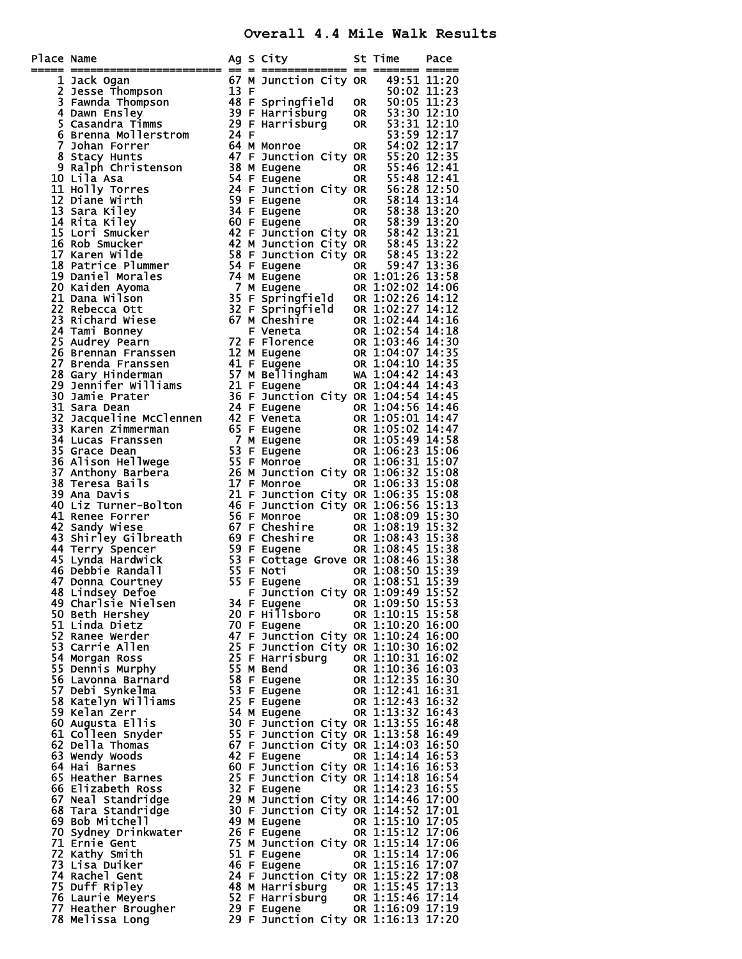## **Overall 4.4 Mile Walk Results**

| Place Name | ace Name<br>$\frac{1}{2}$ Jack Ogam<br>The Richardson Theorem and South City on The Experimental of Name in the South of Name in the South of Name in the South 11:23<br>The Richardson The South City of Name is the South of Name in |    |                                                                            | St Time Pace                         |  |
|------------|----------------------------------------------------------------------------------------------------------------------------------------------------------------------------------------------------------------------------------------|----|----------------------------------------------------------------------------|--------------------------------------|--|
|            |                                                                                                                                                                                                                                        |    |                                                                            |                                      |  |
|            |                                                                                                                                                                                                                                        |    |                                                                            |                                      |  |
|            |                                                                                                                                                                                                                                        |    |                                                                            |                                      |  |
|            |                                                                                                                                                                                                                                        |    |                                                                            |                                      |  |
|            |                                                                                                                                                                                                                                        |    |                                                                            |                                      |  |
|            |                                                                                                                                                                                                                                        |    |                                                                            |                                      |  |
|            |                                                                                                                                                                                                                                        |    |                                                                            |                                      |  |
|            |                                                                                                                                                                                                                                        |    |                                                                            |                                      |  |
|            |                                                                                                                                                                                                                                        |    |                                                                            |                                      |  |
|            |                                                                                                                                                                                                                                        |    |                                                                            |                                      |  |
|            |                                                                                                                                                                                                                                        |    |                                                                            |                                      |  |
|            |                                                                                                                                                                                                                                        |    |                                                                            |                                      |  |
|            |                                                                                                                                                                                                                                        |    |                                                                            |                                      |  |
|            |                                                                                                                                                                                                                                        |    |                                                                            |                                      |  |
|            |                                                                                                                                                                                                                                        |    |                                                                            |                                      |  |
|            |                                                                                                                                                                                                                                        |    |                                                                            |                                      |  |
|            |                                                                                                                                                                                                                                        |    |                                                                            |                                      |  |
|            |                                                                                                                                                                                                                                        |    |                                                                            |                                      |  |
|            |                                                                                                                                                                                                                                        |    |                                                                            |                                      |  |
|            |                                                                                                                                                                                                                                        |    |                                                                            |                                      |  |
|            |                                                                                                                                                                                                                                        |    |                                                                            |                                      |  |
|            |                                                                                                                                                                                                                                        |    |                                                                            |                                      |  |
|            |                                                                                                                                                                                                                                        |    |                                                                            |                                      |  |
|            |                                                                                                                                                                                                                                        |    |                                                                            |                                      |  |
|            |                                                                                                                                                                                                                                        |    |                                                                            |                                      |  |
|            |                                                                                                                                                                                                                                        |    |                                                                            |                                      |  |
|            |                                                                                                                                                                                                                                        |    |                                                                            |                                      |  |
|            |                                                                                                                                                                                                                                        |    |                                                                            |                                      |  |
|            |                                                                                                                                                                                                                                        |    |                                                                            |                                      |  |
|            |                                                                                                                                                                                                                                        |    |                                                                            |                                      |  |
|            |                                                                                                                                                                                                                                        |    |                                                                            |                                      |  |
|            |                                                                                                                                                                                                                                        |    |                                                                            |                                      |  |
|            |                                                                                                                                                                                                                                        |    |                                                                            |                                      |  |
|            |                                                                                                                                                                                                                                        |    |                                                                            |                                      |  |
|            |                                                                                                                                                                                                                                        |    |                                                                            |                                      |  |
|            |                                                                                                                                                                                                                                        |    |                                                                            |                                      |  |
|            |                                                                                                                                                                                                                                        |    |                                                                            |                                      |  |
|            |                                                                                                                                                                                                                                        |    |                                                                            |                                      |  |
|            |                                                                                                                                                                                                                                        |    |                                                                            |                                      |  |
|            |                                                                                                                                                                                                                                        |    |                                                                            |                                      |  |
|            | 48 Lindsey Defoe<br>49 Charlsie Nielsen                                                                                                                                                                                                | ۳. | Junction City OR 1:09:49 15:52<br>34 F Eugene                              | OR 1:09:50 15:53                     |  |
|            | 50 Beth Hershey                                                                                                                                                                                                                        |    | 20 F Hillsboro                                                             | OR 1:10:15 15:58                     |  |
|            | 51 Linda Dietz                                                                                                                                                                                                                         |    | 70 F Eugene                                                                | OR 1:10:20 16:00                     |  |
|            | 52 Ranee Werder                                                                                                                                                                                                                        |    | 47 F Junction City OR 1:10:24 16:00                                        |                                      |  |
|            | 53 Carrie Allen                                                                                                                                                                                                                        |    | 25 F Junction City OR 1:10:30 16:02                                        |                                      |  |
|            | 54 Morgan Ross<br>55 Dennis Murphy                                                                                                                                                                                                     |    | 25 F Harrisburg<br>55 M Bend                                               | OR 1:10:31 16:02<br>OR 1:10:36 16:03 |  |
|            | 56 Lavonna Barnard                                                                                                                                                                                                                     |    | 58 F Eugene                                                                | OR 1:12:35 16:30                     |  |
|            | 57 Debi Synkelma                                                                                                                                                                                                                       |    | 53 F Eugene                                                                | OR 1:12:41 16:31                     |  |
|            | 58 Katelyn Williams                                                                                                                                                                                                                    |    | 25 F Eugene                                                                | OR 1:12:43 16:32                     |  |
|            | 59 Kelan Zerr                                                                                                                                                                                                                          |    | 54 M Eugene                                                                | OR 1:13:32 16:43                     |  |
|            | 60 Augusta Ellis<br>61 Colleen Snyder                                                                                                                                                                                                  |    | 30 F Junction City OR 1:13:55 16:48<br>55 F Junction City OR 1:13:58 16:49 |                                      |  |
|            | 62 Della Thomas                                                                                                                                                                                                                        |    | 67 F Junction City OR 1:14:03 16:50                                        |                                      |  |
|            | 63 Wendy Woods                                                                                                                                                                                                                         |    | 42 F Eugene                                                                | OR 1:14:14 16:53                     |  |
|            | 64 Hai Barnes                                                                                                                                                                                                                          |    | 60 F Junction City OR 1:14:16 16:53                                        |                                      |  |
|            | 65 Heather Barnes                                                                                                                                                                                                                      |    | 25 F Junction City OR 1:14:18 16:54                                        |                                      |  |
|            | 66 Elizabeth Ross                                                                                                                                                                                                                      |    | 32 F Eugene<br>29 M Junction City OR 1:14:46 17:00                         | OR 1:14:23 16:55                     |  |
|            | 67 Neal Standridge<br>68 Tara Standridge                                                                                                                                                                                               |    | 30 F Junction City OR 1:14:52 17:01                                        |                                      |  |
|            | 69 Bob Mitchell                                                                                                                                                                                                                        |    | 49 M Eugene                                                                | OR 1:15:10 17:05                     |  |
|            | 70 Sydney Drinkwater                                                                                                                                                                                                                   |    | 26 F Eugene                                                                | OR 1:15:12 17:06                     |  |
|            | 71 Ernie Gent                                                                                                                                                                                                                          |    | 75 M Junction City OR 1:15:14 17:06                                        |                                      |  |
|            | 72 Kathy Smith                                                                                                                                                                                                                         |    | 51 F Eugene                                                                | OR 1:15:14 17:06                     |  |
|            | 73 Lisa Duiker<br>74 Rachel Gent                                                                                                                                                                                                       |    | 46 F Eugene<br>24 F Junction City OR 1:15:22 17:08                         | OR 1:15:16 17:07                     |  |
|            | 75 Duff Ripley                                                                                                                                                                                                                         |    | 48 M Harrisburg OR 1:15:45 17:13                                           |                                      |  |
|            | 76 Laurie Meyers                                                                                                                                                                                                                       |    | 52 F Harrisburg                                                            | OR 1:15:46 17:14                     |  |
|            | 77 Heather Brougher                                                                                                                                                                                                                    |    | 29 F Eugene                                                                | OR 1:16:09 17:19                     |  |
|            | 78 Melissa Long                                                                                                                                                                                                                        |    | 29 F Junction City OR 1:16:13 17:20                                        |                                      |  |